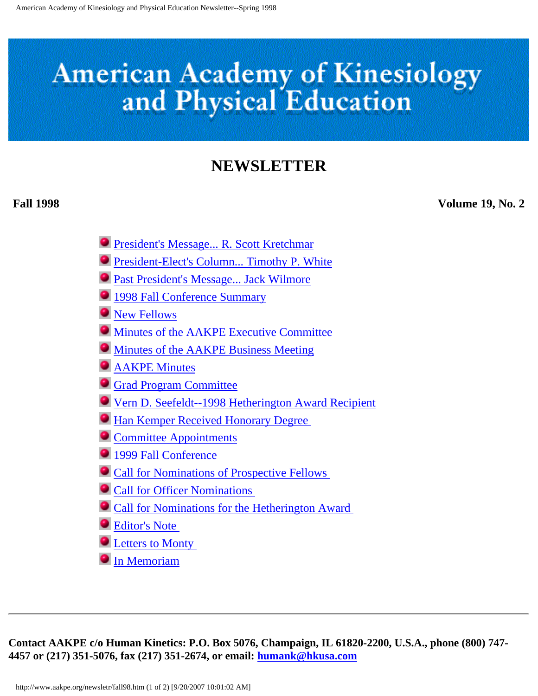# **American Academy of Kinesiology** and Physical Education

### **NEWSLETTER**

**Fall 1998 Volume 19, No. 2**

- [President's Message... R. Scott Kretchmar](#page-2-0)
- **[President-Elect's Column... Timothy P. White](#page-4-0)**
- [Past President's Message... Jack Wilmore](#page-6-0)
- [1998 Fall Conference Summary](#page-8-0)
- **[New Fellows](#page-11-0)**
- [Minutes of the AAKPE Executive Committee](#page-13-0)
- $\bullet$  [Minutes of the AAKPE Business Meeting](#page-16-0)
- **C** [AAKPE Minutes](#page-18-0)
- [Grad Program Committee](#page-21-0)
- [Vern D. Seefeldt--1998 Hetherington Award Recipient](#page-23-0)
- **[Han Kemper Received Honorary Degree](#page-25-0)**
- **[Committee Appointments](#page-26-0)**
- <sup>1999</sup> Fall Conference
- [Call for Nominations of Prospective Fellows](#page-31-0)
- **[Call for Officer Nominations](#page-33-0)**
- [Call for Nominations for the Hetherington Award](#page-35-0)
- [Editor's Note](#page-37-0)
- **Exercise [Letters to Monty](#page-38-0)**
- **[In Memoriam](#page-43-0)**

**Contact AAKPE c/o Human Kinetics: P.O. Box 5076, Champaign, IL 61820-2200, U.S.A., phone (800) 747- 4457 or (217) 351-5076, fax (217) 351-2674, or email: [humank@hkusa.com](mailto:humank@hkusa.com)**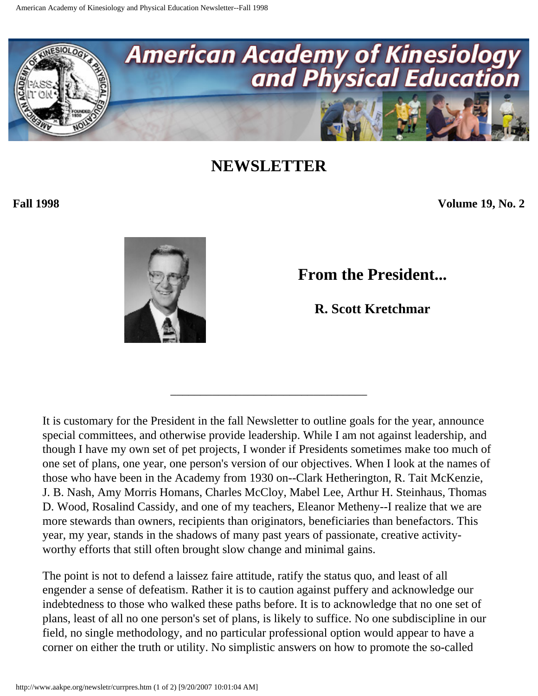<span id="page-2-0"></span>

**Fall 1998 Volume 19, No. 2**



**From the President...**

**R. Scott Kretchmar** 

It is customary for the President in the fall Newsletter to outline goals for the year, announce special committees, and otherwise provide leadership. While I am not against leadership, and though I have my own set of pet projects, I wonder if Presidents sometimes make too much of one set of plans, one year, one person's version of our objectives. When I look at the names of those who have been in the Academy from 1930 on--Clark Hetherington, R. Tait McKenzie, J. B. Nash, Amy Morris Homans, Charles McCloy, Mabel Lee, Arthur H. Steinhaus, Thomas D. Wood, Rosalind Cassidy, and one of my teachers, Eleanor Metheny--I realize that we are more stewards than owners, recipients than originators, beneficiaries than benefactors. This year, my year, stands in the shadows of many past years of passionate, creative activityworthy efforts that still often brought slow change and minimal gains.

\_\_\_\_\_\_\_\_\_\_\_\_\_\_\_\_\_\_\_\_\_\_\_\_\_\_\_\_\_\_\_\_\_

The point is not to defend a laissez faire attitude, ratify the status quo, and least of all engender a sense of defeatism. Rather it is to caution against puffery and acknowledge our indebtedness to those who walked these paths before. It is to acknowledge that no one set of plans, least of all no one person's set of plans, is likely to suffice. No one subdiscipline in our field, no single methodology, and no particular professional option would appear to have a corner on either the truth or utility. No simplistic answers on how to promote the so-called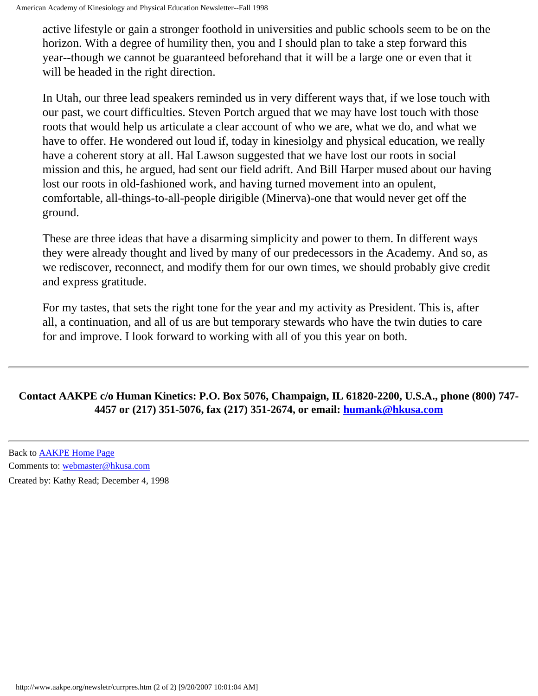active lifestyle or gain a stronger foothold in universities and public schools seem to be on the horizon. With a degree of humility then, you and I should plan to take a step forward this year--though we cannot be guaranteed beforehand that it will be a large one or even that it will be headed in the right direction.

In Utah, our three lead speakers reminded us in very different ways that, if we lose touch with our past, we court difficulties. Steven Portch argued that we may have lost touch with those roots that would help us articulate a clear account of who we are, what we do, and what we have to offer. He wondered out loud if, today in kinesiolgy and physical education, we really have a coherent story at all. Hal Lawson suggested that we have lost our roots in social mission and this, he argued, had sent our field adrift. And Bill Harper mused about our having lost our roots in old-fashioned work, and having turned movement into an opulent, comfortable, all-things-to-all-people dirigible (Minerva)-one that would never get off the ground.

These are three ideas that have a disarming simplicity and power to them. In different ways they were already thought and lived by many of our predecessors in the Academy. And so, as we rediscover, reconnect, and modify them for our own times, we should probably give credit and express gratitude.

For my tastes, that sets the right tone for the year and my activity as President. This is, after all, a continuation, and all of us are but temporary stewards who have the twin duties to care for and improve. I look forward to working with all of you this year on both.

#### **Contact AAKPE c/o Human Kinetics: P.O. Box 5076, Champaign, IL 61820-2200, U.S.A., phone (800) 747- 4457 or (217) 351-5076, fax (217) 351-2674, or email: [humank@hkusa.com](mailto:humank@hkusa.com)**

Back to [AAKPE Home Page](http://www.aakpe.org/index.htm) Comments to: [webmaster@hkusa.com](mailto:webmaster@hkusa.com)

Created by: Kathy Read; December 4, 1998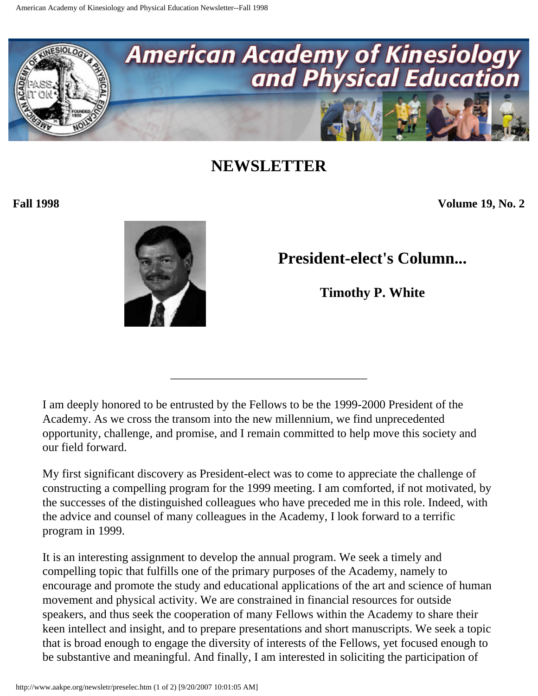<span id="page-4-0"></span>

**Fall 1998 Volume 19, No. 2**



**President-elect's Column...**

**Timothy P. White** 

I am deeply honored to be entrusted by the Fellows to be the 1999-2000 President of the Academy. As we cross the transom into the new millennium, we find unprecedented opportunity, challenge, and promise, and I remain committed to help move this society and our field forward.

\_\_\_\_\_\_\_\_\_\_\_\_\_\_\_\_\_\_\_\_\_\_\_\_\_\_\_\_\_\_\_\_\_

My first significant discovery as President-elect was to come to appreciate the challenge of constructing a compelling program for the 1999 meeting. I am comforted, if not motivated, by the successes of the distinguished colleagues who have preceded me in this role. Indeed, with the advice and counsel of many colleagues in the Academy, I look forward to a terrific program in 1999.

It is an interesting assignment to develop the annual program. We seek a timely and compelling topic that fulfills one of the primary purposes of the Academy, namely to encourage and promote the study and educational applications of the art and science of human movement and physical activity. We are constrained in financial resources for outside speakers, and thus seek the cooperation of many Fellows within the Academy to share their keen intellect and insight, and to prepare presentations and short manuscripts. We seek a topic that is broad enough to engage the diversity of interests of the Fellows, yet focused enough to be substantive and meaningful. And finally, I am interested in soliciting the participation of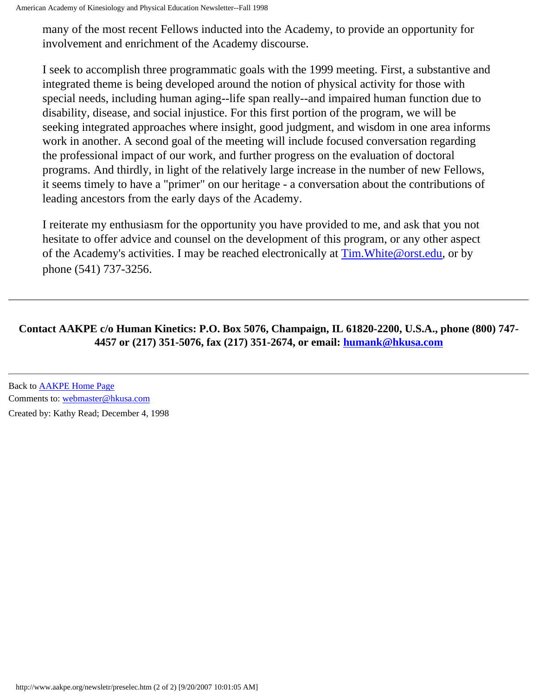many of the most recent Fellows inducted into the Academy, to provide an opportunity for involvement and enrichment of the Academy discourse.

I seek to accomplish three programmatic goals with the 1999 meeting. First, a substantive and integrated theme is being developed around the notion of physical activity for those with special needs, including human aging--life span really--and impaired human function due to disability, disease, and social injustice. For this first portion of the program, we will be seeking integrated approaches where insight, good judgment, and wisdom in one area informs work in another. A second goal of the meeting will include focused conversation regarding the professional impact of our work, and further progress on the evaluation of doctoral programs. And thirdly, in light of the relatively large increase in the number of new Fellows, it seems timely to have a "primer" on our heritage - a conversation about the contributions of leading ancestors from the early days of the Academy.

I reiterate my enthusiasm for the opportunity you have provided to me, and ask that you not hesitate to offer advice and counsel on the development of this program, or any other aspect of the Academy's activities. I may be reached electronically at [Tim.White@orst.edu](mailto:Tim.White@orst.edu), or by phone (541) 737-3256.

#### **Contact AAKPE c/o Human Kinetics: P.O. Box 5076, Champaign, IL 61820-2200, U.S.A., phone (800) 747- 4457 or (217) 351-5076, fax (217) 351-2674, or email: [humank@hkusa.com](mailto:humank@hkusa.com)**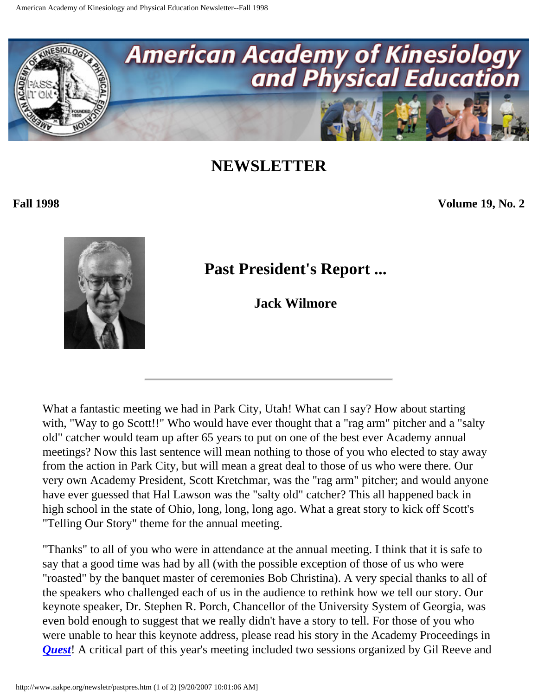<span id="page-6-0"></span>

**Fall 1998 Volume 19, No. 2**



## **Past President's Report ...**

**Jack Wilmore** 

What a fantastic meeting we had in Park City, Utah! What can I say? How about starting with, "Way to go Scott!!" Who would have ever thought that a "rag arm" pitcher and a "salty old" catcher would team up after 65 years to put on one of the best ever Academy annual meetings? Now this last sentence will mean nothing to those of you who elected to stay away from the action in Park City, but will mean a great deal to those of us who were there. Our very own Academy President, Scott Kretchmar, was the "rag arm" pitcher; and would anyone have ever guessed that Hal Lawson was the "salty old" catcher? This all happened back in high school in the state of Ohio, long, long, long ago. What a great story to kick off Scott's "Telling Our Story" theme for the annual meeting.

"Thanks" to all of you who were in attendance at the annual meeting. I think that it is safe to say that a good time was had by all (with the possible exception of those of us who were "roasted" by the banquet master of ceremonies Bob Christina). A very special thanks to all of the speakers who challenged each of us in the audience to rethink how we tell our story. Our keynote speaker, Dr. Stephen R. Porch, Chancellor of the University System of Georgia, was even bold enough to suggest that we really didn't have a story to tell. For those of you who were unable to hear this keynote address, please read his story in the Academy Proceedings in *[Quest](http://www.humankinetics.com/infok/journals/quest/intro.htm)*! A critical part of this year's meeting included two sessions organized by Gil Reeve and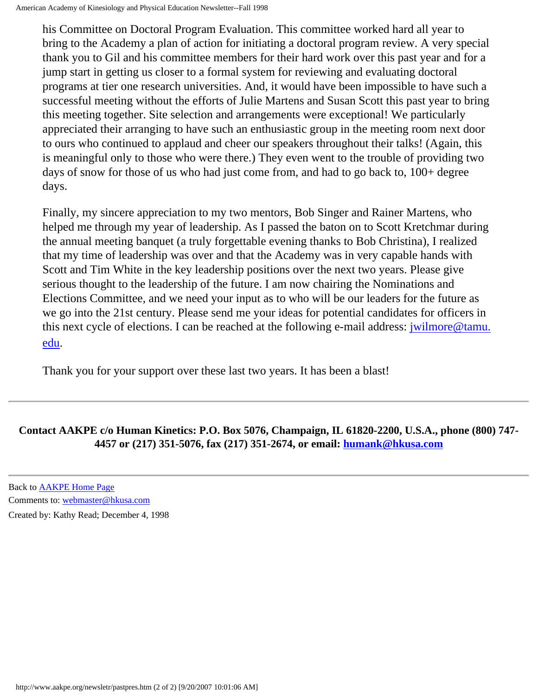his Committee on Doctoral Program Evaluation. This committee worked hard all year to bring to the Academy a plan of action for initiating a doctoral program review. A very special thank you to Gil and his committee members for their hard work over this past year and for a jump start in getting us closer to a formal system for reviewing and evaluating doctoral programs at tier one research universities. And, it would have been impossible to have such a successful meeting without the efforts of Julie Martens and Susan Scott this past year to bring this meeting together. Site selection and arrangements were exceptional! We particularly appreciated their arranging to have such an enthusiastic group in the meeting room next door to ours who continued to applaud and cheer our speakers throughout their talks! (Again, this is meaningful only to those who were there.) They even went to the trouble of providing two days of snow for those of us who had just come from, and had to go back to, 100+ degree days.

Finally, my sincere appreciation to my two mentors, Bob Singer and Rainer Martens, who helped me through my year of leadership. As I passed the baton on to Scott Kretchmar during the annual meeting banquet (a truly forgettable evening thanks to Bob Christina), I realized that my time of leadership was over and that the Academy was in very capable hands with Scott and Tim White in the key leadership positions over the next two years. Please give serious thought to the leadership of the future. I am now chairing the Nominations and Elections Committee, and we need your input as to who will be our leaders for the future as we go into the 21st century. Please send me your ideas for potential candidates for officers in this next cycle of elections. I can be reached at the following e-mail address: [jwilmore@tamu.](mailto:jwilmore@tamu.edu) [edu.](mailto:jwilmore@tamu.edu)

Thank you for your support over these last two years. It has been a blast!

#### **Contact AAKPE c/o Human Kinetics: P.O. Box 5076, Champaign, IL 61820-2200, U.S.A., phone (800) 747- 4457 or (217) 351-5076, fax (217) 351-2674, or email: [humank@hkusa.com](mailto:humank@hkusa.com)**

Back to [AAKPE Home Page](http://www.aakpe.org/index.htm) Comments to: [webmaster@hkusa.com](mailto:webmaster@hkusa.com)

Created by: Kathy Read; December 4, 1998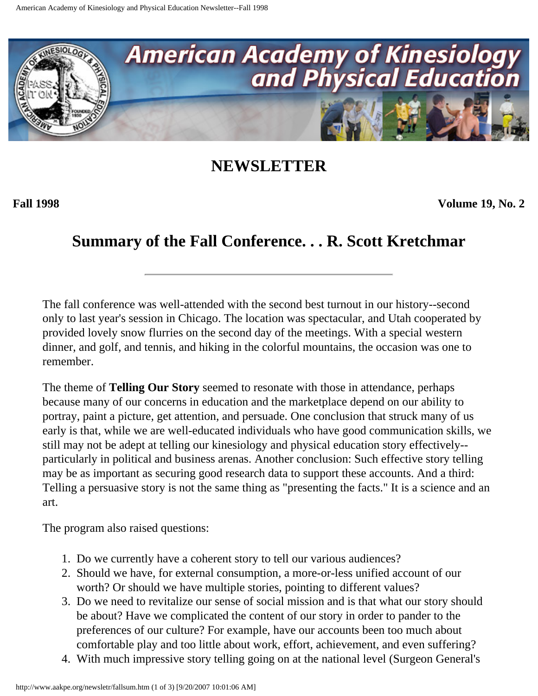<span id="page-8-0"></span>

**Fall 1998 Volume 19, No. 2**

### **Summary of the Fall Conference. . . R. Scott Kretchmar**

The fall conference was well-attended with the second best turnout in our history--second only to last year's session in Chicago. The location was spectacular, and Utah cooperated by provided lovely snow flurries on the second day of the meetings. With a special western dinner, and golf, and tennis, and hiking in the colorful mountains, the occasion was one to remember.

The theme of **Telling Our Story** seemed to resonate with those in attendance, perhaps because many of our concerns in education and the marketplace depend on our ability to portray, paint a picture, get attention, and persuade. One conclusion that struck many of us early is that, while we are well-educated individuals who have good communication skills, we still may not be adept at telling our kinesiology and physical education story effectively- particularly in political and business arenas. Another conclusion: Such effective story telling may be as important as securing good research data to support these accounts. And a third: Telling a persuasive story is not the same thing as "presenting the facts." It is a science and an art.

The program also raised questions:

- 1. Do we currently have a coherent story to tell our various audiences?
- 2. Should we have, for external consumption, a more-or-less unified account of our worth? Or should we have multiple stories, pointing to different values?
- 3. Do we need to revitalize our sense of social mission and is that what our story should be about? Have we complicated the content of our story in order to pander to the preferences of our culture? For example, have our accounts been too much about comfortable play and too little about work, effort, achievement, and even suffering?
- 4. With much impressive story telling going on at the national level (Surgeon General's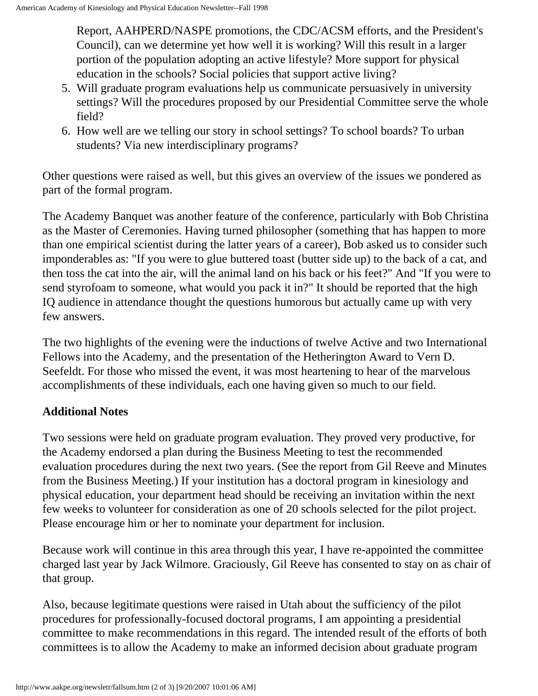Report, AAHPERD/NASPE promotions, the CDC/ACSM efforts, and the President's Council), can we determine yet how well it is working? Will this result in a larger portion of the population adopting an active lifestyle? More support for physical education in the schools? Social policies that support active living?

- 5. Will graduate program evaluations help us communicate persuasively in university settings? Will the procedures proposed by our Presidential Committee serve the whole field?
- 6. How well are we telling our story in school settings? To school boards? To urban students? Via new interdisciplinary programs?

Other questions were raised as well, but this gives an overview of the issues we pondered as part of the formal program.

The Academy Banquet was another feature of the conference, particularly with Bob Christina as the Master of Ceremonies. Having turned philosopher (something that has happen to more than one empirical scientist during the latter years of a career), Bob asked us to consider such imponderables as: "If you were to glue buttered toast (butter side up) to the back of a cat, and then toss the cat into the air, will the animal land on his back or his feet?" And "If you were to send styrofoam to someone, what would you pack it in?" It should be reported that the high IQ audience in attendance thought the questions humorous but actually came up with very few answers.

The two highlights of the evening were the inductions of twelve Active and two International Fellows into the Academy, and the presentation of the Hetherington Award to Vern D. Seefeldt. For those who missed the event, it was most heartening to hear of the marvelous accomplishments of these individuals, each one having given so much to our field.

#### **Additional Notes**

Two sessions were held on graduate program evaluation. They proved very productive, for the Academy endorsed a plan during the Business Meeting to test the recommended evaluation procedures during the next two years. (See the report from Gil Reeve and Minutes from the Business Meeting.) If your institution has a doctoral program in kinesiology and physical education, your department head should be receiving an invitation within the next few weeks to volunteer for consideration as one of 20 schools selected for the pilot project. Please encourage him or her to nominate your department for inclusion.

Because work will continue in this area through this year, I have re-appointed the committee charged last year by Jack Wilmore. Graciously, Gil Reeve has consented to stay on as chair of that group.

Also, because legitimate questions were raised in Utah about the sufficiency of the pilot procedures for professionally-focused doctoral programs, I am appointing a presidential committee to make recommendations in this regard. The intended result of the efforts of both committees is to allow the Academy to make an informed decision about graduate program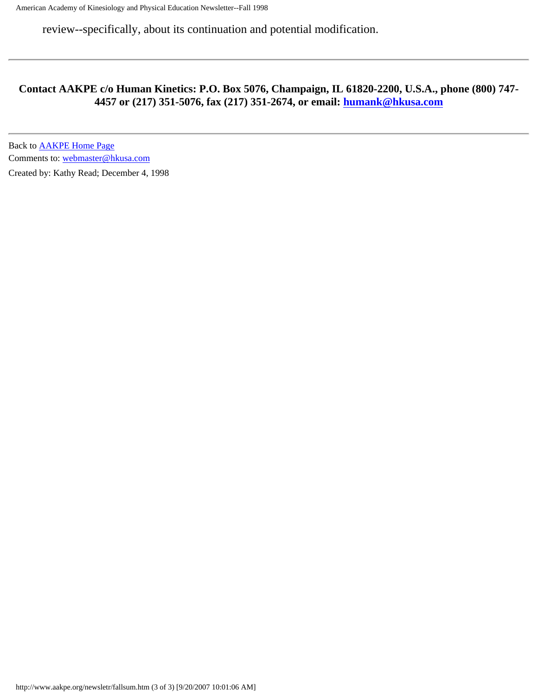review--specifically, about its continuation and potential modification.

#### **Contact AAKPE c/o Human Kinetics: P.O. Box 5076, Champaign, IL 61820-2200, U.S.A., phone (800) 747- 4457 or (217) 351-5076, fax (217) 351-2674, or email: [humank@hkusa.com](mailto:humank@hkusa.com)**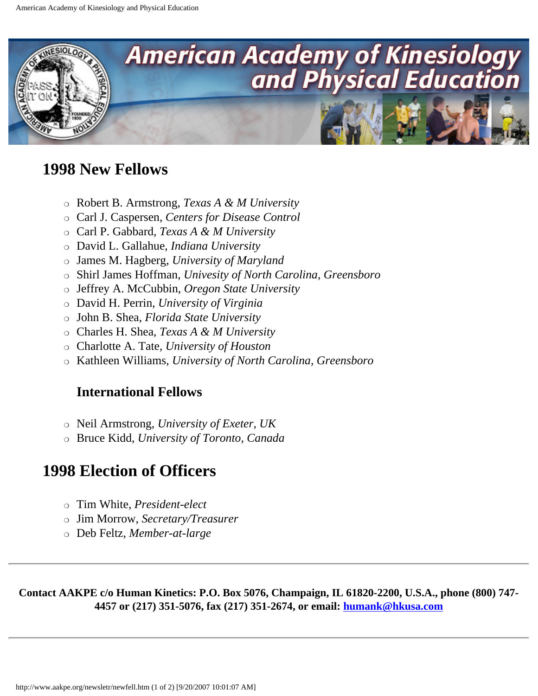<span id="page-11-0"></span>

### **1998 New Fellows**

- ❍ Robert B. Armstrong, *Texas A & M University*
- ❍ Carl J. Caspersen, *Centers for Disease Control*
- ❍ Carl P. Gabbard, *Texas A & M University*
- ❍ David L. Gallahue, *Indiana University*
- ❍ James M. Hagberg, *University of Maryland*
- ❍ Shirl James Hoffman, *Univesity of North Carolina, Greensboro*
- ❍ Jeffrey A. McCubbin, *Oregon State University*
- ❍ David H. Perrin, *University of Virginia*
- ❍ John B. Shea, *Florida State University*
- ❍ Charles H. Shea, *Texas A & M University*
- ❍ Charlotte A. Tate, *University of Houston*
- ❍ Kathleen Williams, *University of North Carolina, Greensboro*

#### **International Fellows**

- ❍ Neil Armstrong, *University of Exeter, UK*
- ❍ Bruce Kidd, *University of Toronto, Canada*

### **1998 Election of Officers**

- ❍ Tim White, *President-elect*
- ❍ Jim Morrow, *Secretary/Treasurer*
- ❍ Deb Feltz, *Member-at-large*

**Contact AAKPE c/o Human Kinetics: P.O. Box 5076, Champaign, IL 61820-2200, U.S.A., phone (800) 747- 4457 or (217) 351-5076, fax (217) 351-2674, or email: [humank@hkusa.com](mailto:humank@hkusa.com)**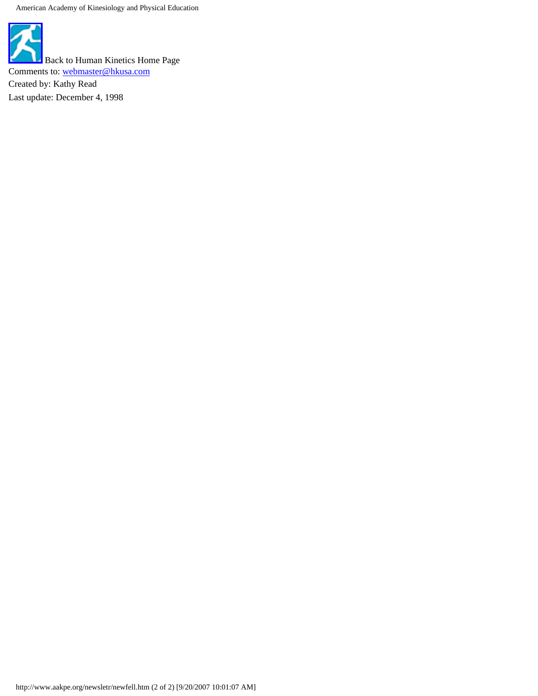American Academy of Kinesiology and Physical Education

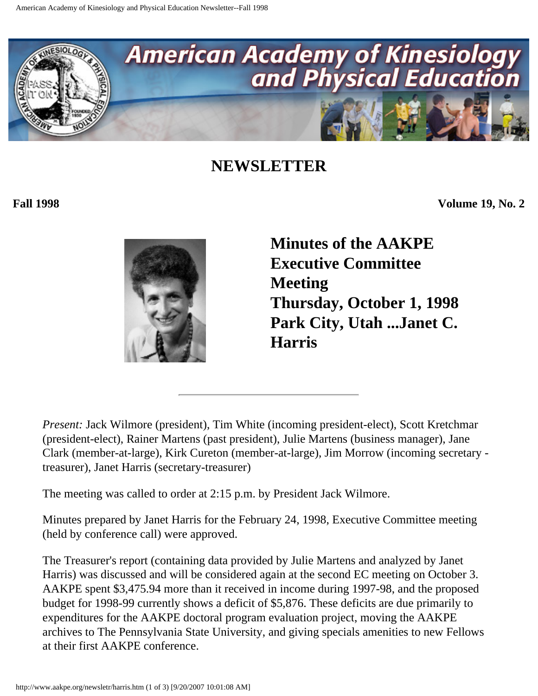<span id="page-13-0"></span>

**Fall 1998 Volume 19, No. 2**



**Minutes of the AAKPE Executive Committee Meeting Thursday, October 1, 1998 Park City, Utah ...Janet C. Harris** 

*Present:* Jack Wilmore (president), Tim White (incoming president-elect), Scott Kretchmar (president-elect), Rainer Martens (past president), Julie Martens (business manager), Jane Clark (member-at-large), Kirk Cureton (member-at-large), Jim Morrow (incoming secretary treasurer), Janet Harris (secretary-treasurer)

The meeting was called to order at 2:15 p.m. by President Jack Wilmore.

Minutes prepared by Janet Harris for the February 24, 1998, Executive Committee meeting (held by conference call) were approved.

The Treasurer's report (containing data provided by Julie Martens and analyzed by Janet Harris) was discussed and will be considered again at the second EC meeting on October 3. AAKPE spent \$3,475.94 more than it received in income during 1997-98, and the proposed budget for 1998-99 currently shows a deficit of \$5,876. These deficits are due primarily to expenditures for the AAKPE doctoral program evaluation project, moving the AAKPE archives to The Pennsylvania State University, and giving specials amenities to new Fellows at their first AAKPE conference.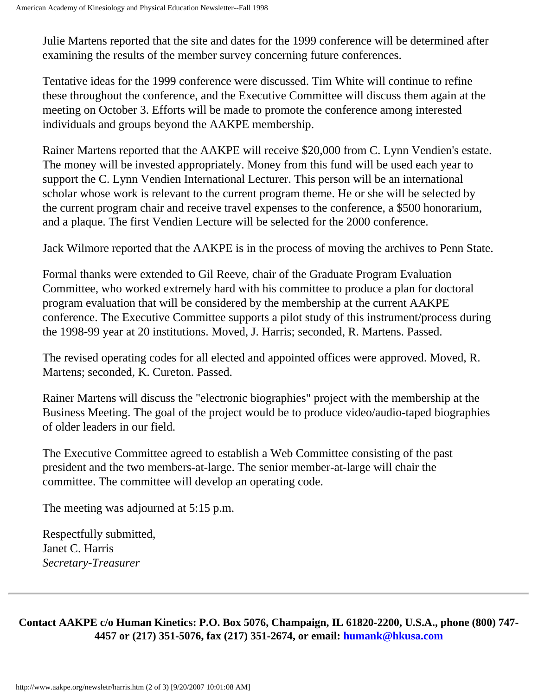Julie Martens reported that the site and dates for the 1999 conference will be determined after examining the results of the member survey concerning future conferences.

Tentative ideas for the 1999 conference were discussed. Tim White will continue to refine these throughout the conference, and the Executive Committee will discuss them again at the meeting on October 3. Efforts will be made to promote the conference among interested individuals and groups beyond the AAKPE membership.

Rainer Martens reported that the AAKPE will receive \$20,000 from C. Lynn Vendien's estate. The money will be invested appropriately. Money from this fund will be used each year to support the C. Lynn Vendien International Lecturer. This person will be an international scholar whose work is relevant to the current program theme. He or she will be selected by the current program chair and receive travel expenses to the conference, a \$500 honorarium, and a plaque. The first Vendien Lecture will be selected for the 2000 conference.

Jack Wilmore reported that the AAKPE is in the process of moving the archives to Penn State.

Formal thanks were extended to Gil Reeve, chair of the Graduate Program Evaluation Committee, who worked extremely hard with his committee to produce a plan for doctoral program evaluation that will be considered by the membership at the current AAKPE conference. The Executive Committee supports a pilot study of this instrument/process during the 1998-99 year at 20 institutions. Moved, J. Harris; seconded, R. Martens. Passed.

The revised operating codes for all elected and appointed offices were approved. Moved, R. Martens; seconded, K. Cureton. Passed.

Rainer Martens will discuss the "electronic biographies" project with the membership at the Business Meeting. The goal of the project would be to produce video/audio-taped biographies of older leaders in our field.

The Executive Committee agreed to establish a Web Committee consisting of the past president and the two members-at-large. The senior member-at-large will chair the committee. The committee will develop an operating code.

The meeting was adjourned at 5:15 p.m.

Respectfully submitted, Janet C. Harris *Secretary-Treasurer*

**Contact AAKPE c/o Human Kinetics: P.O. Box 5076, Champaign, IL 61820-2200, U.S.A., phone (800) 747- 4457 or (217) 351-5076, fax (217) 351-2674, or email: [humank@hkusa.com](mailto:humank@hkusa.com)**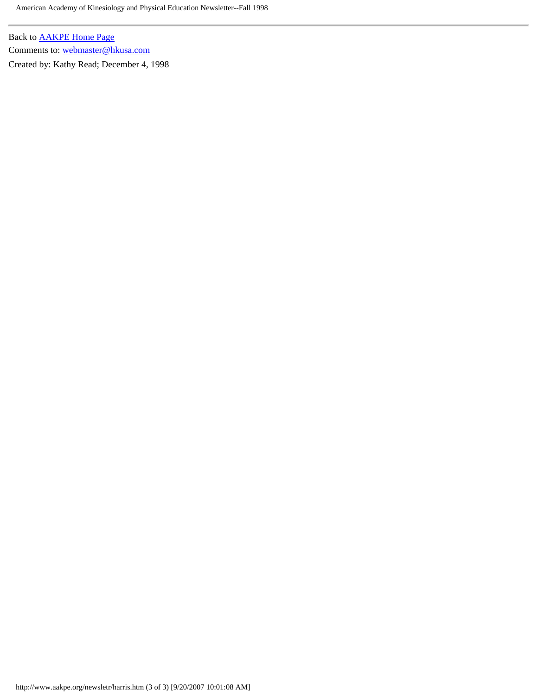American Academy of Kinesiology and Physical Education Newsletter--Fall 1998

Back to [AAKPE Home Page](http://www.aakpe.org/index.htm) Comments to: [webmaster@hkusa.com](mailto:webmaster@hkusa.com)

Created by: Kathy Read; December 4, 1998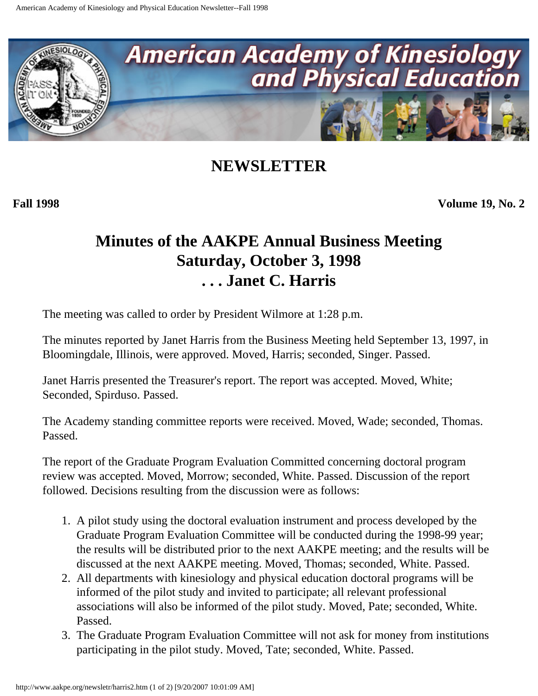<span id="page-16-0"></span>

**Fall 1998 Volume 19, No. 2**

### **Minutes of the AAKPE Annual Business Meeting Saturday, October 3, 1998 . . . Janet C. Harris**

The meeting was called to order by President Wilmore at 1:28 p.m.

The minutes reported by Janet Harris from the Business Meeting held September 13, 1997, in Bloomingdale, Illinois, were approved. Moved, Harris; seconded, Singer. Passed.

Janet Harris presented the Treasurer's report. The report was accepted. Moved, White; Seconded, Spirduso. Passed.

The Academy standing committee reports were received. Moved, Wade; seconded, Thomas. Passed.

The report of the Graduate Program Evaluation Committed concerning doctoral program review was accepted. Moved, Morrow; seconded, White. Passed. Discussion of the report followed. Decisions resulting from the discussion were as follows:

- 1. A pilot study using the doctoral evaluation instrument and process developed by the Graduate Program Evaluation Committee will be conducted during the 1998-99 year; the results will be distributed prior to the next AAKPE meeting; and the results will be discussed at the next AAKPE meeting. Moved, Thomas; seconded, White. Passed.
- 2. All departments with kinesiology and physical education doctoral programs will be informed of the pilot study and invited to participate; all relevant professional associations will also be informed of the pilot study. Moved, Pate; seconded, White. Passed.
- 3. The Graduate Program Evaluation Committee will not ask for money from institutions participating in the pilot study. Moved, Tate; seconded, White. Passed.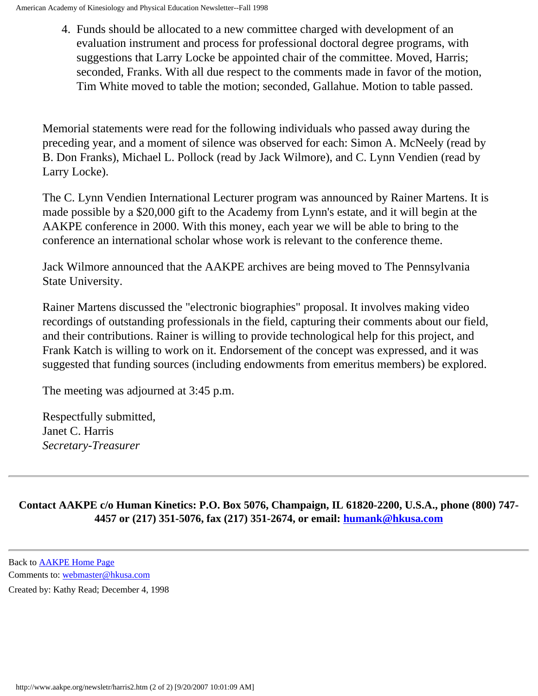4. Funds should be allocated to a new committee charged with development of an evaluation instrument and process for professional doctoral degree programs, with suggestions that Larry Locke be appointed chair of the committee. Moved, Harris; seconded, Franks. With all due respect to the comments made in favor of the motion, Tim White moved to table the motion; seconded, Gallahue. Motion to table passed.

Memorial statements were read for the following individuals who passed away during the preceding year, and a moment of silence was observed for each: Simon A. McNeely (read by B. Don Franks), Michael L. Pollock (read by Jack Wilmore), and C. Lynn Vendien (read by Larry Locke).

The C. Lynn Vendien International Lecturer program was announced by Rainer Martens. It is made possible by a \$20,000 gift to the Academy from Lynn's estate, and it will begin at the AAKPE conference in 2000. With this money, each year we will be able to bring to the conference an international scholar whose work is relevant to the conference theme.

Jack Wilmore announced that the AAKPE archives are being moved to The Pennsylvania State University.

Rainer Martens discussed the "electronic biographies" proposal. It involves making video recordings of outstanding professionals in the field, capturing their comments about our field, and their contributions. Rainer is willing to provide technological help for this project, and Frank Katch is willing to work on it. Endorsement of the concept was expressed, and it was suggested that funding sources (including endowments from emeritus members) be explored.

The meeting was adjourned at 3:45 p.m.

Respectfully submitted, Janet C. Harris *Secretary-Treasurer*

**Contact AAKPE c/o Human Kinetics: P.O. Box 5076, Champaign, IL 61820-2200, U.S.A., phone (800) 747- 4457 or (217) 351-5076, fax (217) 351-2674, or email: [humank@hkusa.com](mailto:humank@hkusa.com)**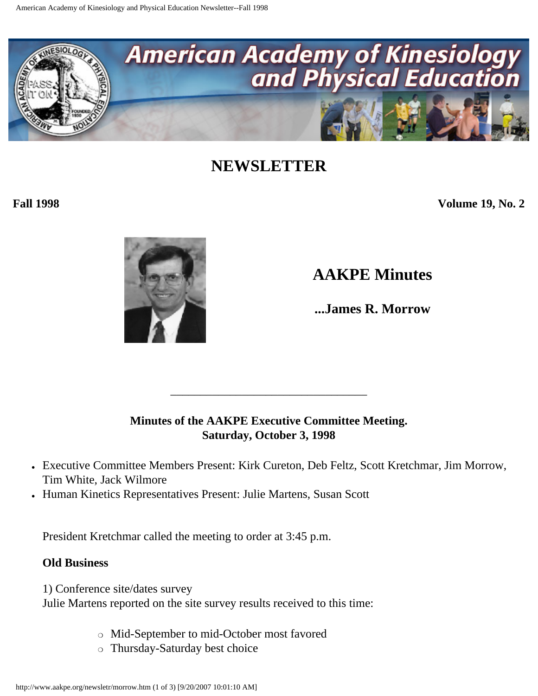<span id="page-18-0"></span>

**Fall 1998 Volume 19, No. 2**



**AAKPE Minutes**

**...James R. Morrow** 

#### **Minutes of the AAKPE Executive Committee Meeting. Saturday, October 3, 1998**

\_\_\_\_\_\_\_\_\_\_\_\_\_\_\_\_\_\_\_\_\_\_\_\_\_\_\_\_\_\_\_\_\_

- Executive Committee Members Present: Kirk Cureton, Deb Feltz, Scott Kretchmar, Jim Morrow, Tim White, Jack Wilmore
- Human Kinetics Representatives Present: Julie Martens, Susan Scott

President Kretchmar called the meeting to order at 3:45 p.m.

#### **Old Business**

1) Conference site/dates survey Julie Martens reported on the site survey results received to this time:

- ❍ Mid-September to mid-October most favored
- ❍ Thursday-Saturday best choice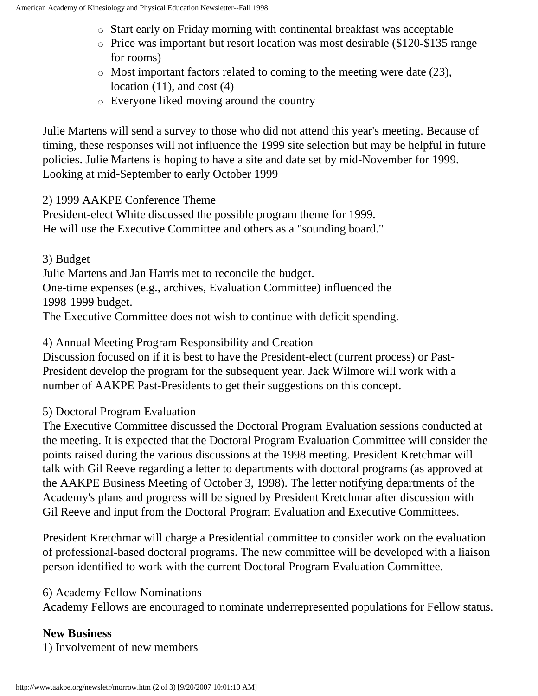- ❍ Start early on Friday morning with continental breakfast was acceptable
- ❍ Price was important but resort location was most desirable (\$120-\$135 range for rooms)
- ❍ Most important factors related to coming to the meeting were date (23), location  $(11)$ , and cost  $(4)$
- ❍ Everyone liked moving around the country

Julie Martens will send a survey to those who did not attend this year's meeting. Because of timing, these responses will not influence the 1999 site selection but may be helpful in future policies. Julie Martens is hoping to have a site and date set by mid-November for 1999. Looking at mid-September to early October 1999

#### 2) 1999 AAKPE Conference Theme

President-elect White discussed the possible program theme for 1999. He will use the Executive Committee and others as a "sounding board."

3) Budget Julie Martens and Jan Harris met to reconcile the budget. One-time expenses (e.g., archives, Evaluation Committee) influenced the 1998-1999 budget. The Executive Committee does not wish to continue with deficit spending.

4) Annual Meeting Program Responsibility and Creation

Discussion focused on if it is best to have the President-elect (current process) or Past-President develop the program for the subsequent year. Jack Wilmore will work with a number of AAKPE Past-Presidents to get their suggestions on this concept.

5) Doctoral Program Evaluation

The Executive Committee discussed the Doctoral Program Evaluation sessions conducted at the meeting. It is expected that the Doctoral Program Evaluation Committee will consider the points raised during the various discussions at the 1998 meeting. President Kretchmar will talk with Gil Reeve regarding a letter to departments with doctoral programs (as approved at the AAKPE Business Meeting of October 3, 1998). The letter notifying departments of the Academy's plans and progress will be signed by President Kretchmar after discussion with Gil Reeve and input from the Doctoral Program Evaluation and Executive Committees.

President Kretchmar will charge a Presidential committee to consider work on the evaluation of professional-based doctoral programs. The new committee will be developed with a liaison person identified to work with the current Doctoral Program Evaluation Committee.

#### 6) Academy Fellow Nominations

Academy Fellows are encouraged to nominate underrepresented populations for Fellow status.

#### **New Business**

1) Involvement of new members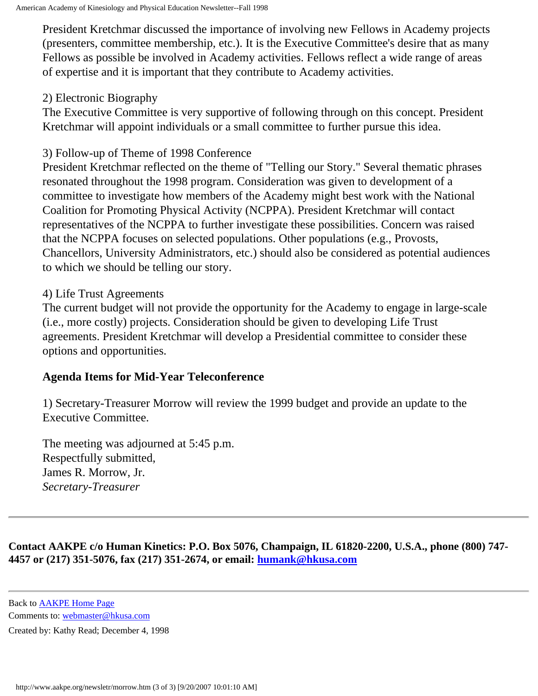President Kretchmar discussed the importance of involving new Fellows in Academy projects (presenters, committee membership, etc.). It is the Executive Committee's desire that as many Fellows as possible be involved in Academy activities. Fellows reflect a wide range of areas of expertise and it is important that they contribute to Academy activities.

#### 2) Electronic Biography

The Executive Committee is very supportive of following through on this concept. President Kretchmar will appoint individuals or a small committee to further pursue this idea.

#### 3) Follow-up of Theme of 1998 Conference

President Kretchmar reflected on the theme of "Telling our Story." Several thematic phrases resonated throughout the 1998 program. Consideration was given to development of a committee to investigate how members of the Academy might best work with the National Coalition for Promoting Physical Activity (NCPPA). President Kretchmar will contact representatives of the NCPPA to further investigate these possibilities. Concern was raised that the NCPPA focuses on selected populations. Other populations (e.g., Provosts, Chancellors, University Administrators, etc.) should also be considered as potential audiences to which we should be telling our story.

#### 4) Life Trust Agreements

The current budget will not provide the opportunity for the Academy to engage in large-scale (i.e., more costly) projects. Consideration should be given to developing Life Trust agreements. President Kretchmar will develop a Presidential committee to consider these options and opportunities.

#### **Agenda Items for Mid-Year Teleconference**

1) Secretary-Treasurer Morrow will review the 1999 budget and provide an update to the Executive Committee.

The meeting was adjourned at 5:45 p.m. Respectfully submitted, James R. Morrow, Jr. *Secretary-Treasurer*

**Contact AAKPE c/o Human Kinetics: P.O. Box 5076, Champaign, IL 61820-2200, U.S.A., phone (800) 747- 4457 or (217) 351-5076, fax (217) 351-2674, or email: [humank@hkusa.com](mailto:humank@hkusa.com)**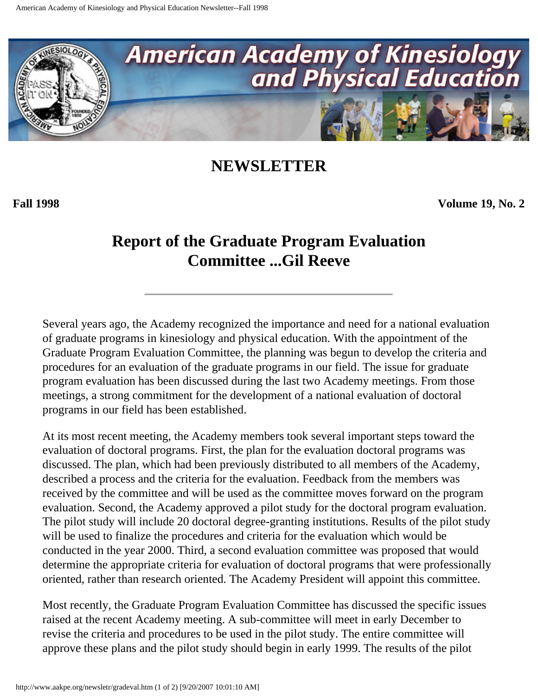<span id="page-21-0"></span>

**Fall 1998 Volume 19, No. 2**

### **Report of the Graduate Program Evaluation Committee ...Gil Reeve**

Several years ago, the Academy recognized the importance and need for a national evaluation of graduate programs in kinesiology and physical education. With the appointment of the Graduate Program Evaluation Committee, the planning was begun to develop the criteria and procedures for an evaluation of the graduate programs in our field. The issue for graduate program evaluation has been discussed during the last two Academy meetings. From those meetings, a strong commitment for the development of a national evaluation of doctoral programs in our field has been established.

At its most recent meeting, the Academy members took several important steps toward the evaluation of doctoral programs. First, the plan for the evaluation doctoral programs was discussed. The plan, which had been previously distributed to all members of the Academy, described a process and the criteria for the evaluation. Feedback from the members was received by the committee and will be used as the committee moves forward on the program evaluation. Second, the Academy approved a pilot study for the doctoral program evaluation. The pilot study will include 20 doctoral degree-granting institutions. Results of the pilot study will be used to finalize the procedures and criteria for the evaluation which would be conducted in the year 2000. Third, a second evaluation committee was proposed that would determine the appropriate criteria for evaluation of doctoral programs that were professionally oriented, rather than research oriented. The Academy President will appoint this committee.

Most recently, the Graduate Program Evaluation Committee has discussed the specific issues raised at the recent Academy meeting. A sub-committee will meet in early December to revise the criteria and procedures to be used in the pilot study. The entire committee will approve these plans and the pilot study should begin in early 1999. The results of the pilot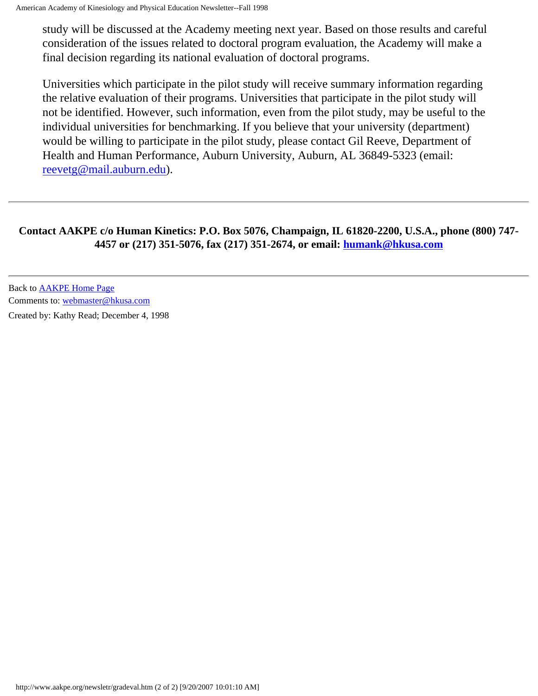study will be discussed at the Academy meeting next year. Based on those results and careful consideration of the issues related to doctoral program evaluation, the Academy will make a final decision regarding its national evaluation of doctoral programs.

Universities which participate in the pilot study will receive summary information regarding the relative evaluation of their programs. Universities that participate in the pilot study will not be identified. However, such information, even from the pilot study, may be useful to the individual universities for benchmarking. If you believe that your university (department) would be willing to participate in the pilot study, please contact Gil Reeve, Department of Health and Human Performance, Auburn University, Auburn, AL 36849-5323 (email: [reevetg@mail.auburn.edu\)](mailto:reevetg@mail.auburn.edu).

#### **Contact AAKPE c/o Human Kinetics: P.O. Box 5076, Champaign, IL 61820-2200, U.S.A., phone (800) 747- 4457 or (217) 351-5076, fax (217) 351-2674, or email: [humank@hkusa.com](mailto:humank@hkusa.com)**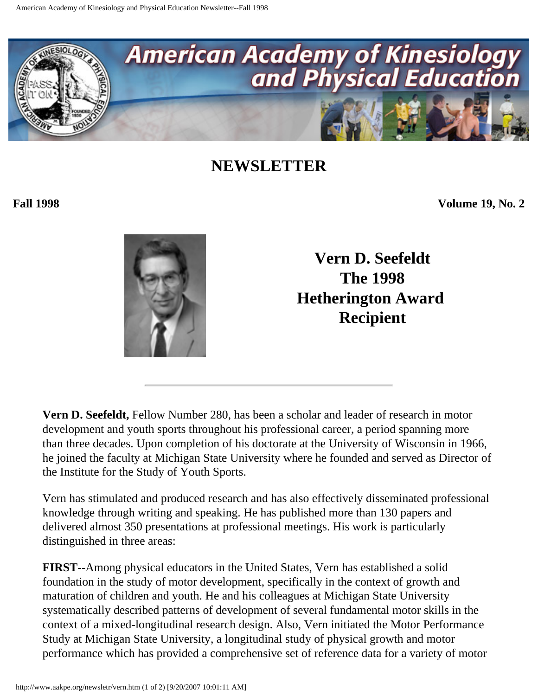<span id="page-23-0"></span>

**Fall 1998 Volume 19, No. 2**



**Vern D. Seefeldt The 1998 Hetherington Award Recipient** 

**Vern D. Seefeldt,** Fellow Number 280, has been a scholar and leader of research in motor development and youth sports throughout his professional career, a period spanning more than three decades. Upon completion of his doctorate at the University of Wisconsin in 1966, he joined the faculty at Michigan State University where he founded and served as Director of the Institute for the Study of Youth Sports.

Vern has stimulated and produced research and has also effectively disseminated professional knowledge through writing and speaking. He has published more than 130 papers and delivered almost 350 presentations at professional meetings. His work is particularly distinguished in three areas:

**FIRST**--Among physical educators in the United States, Vern has established a solid foundation in the study of motor development, specifically in the context of growth and maturation of children and youth. He and his colleagues at Michigan State University systematically described patterns of development of several fundamental motor skills in the context of a mixed-longitudinal research design. Also, Vern initiated the Motor Performance Study at Michigan State University, a longitudinal study of physical growth and motor performance which has provided a comprehensive set of reference data for a variety of motor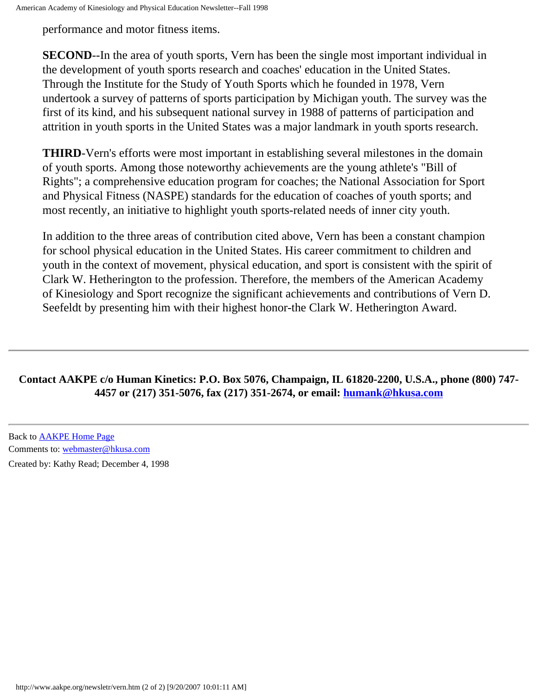performance and motor fitness items.

**SECOND**--In the area of youth sports, Vern has been the single most important individual in the development of youth sports research and coaches' education in the United States. Through the Institute for the Study of Youth Sports which he founded in 1978, Vern undertook a survey of patterns of sports participation by Michigan youth. The survey was the first of its kind, and his subsequent national survey in 1988 of patterns of participation and attrition in youth sports in the United States was a major landmark in youth sports research.

**THIRD**-Vern's efforts were most important in establishing several milestones in the domain of youth sports. Among those noteworthy achievements are the young athlete's "Bill of Rights"; a comprehensive education program for coaches; the National Association for Sport and Physical Fitness (NASPE) standards for the education of coaches of youth sports; and most recently, an initiative to highlight youth sports-related needs of inner city youth.

In addition to the three areas of contribution cited above, Vern has been a constant champion for school physical education in the United States. His career commitment to children and youth in the context of movement, physical education, and sport is consistent with the spirit of Clark W. Hetherington to the profession. Therefore, the members of the American Academy of Kinesiology and Sport recognize the significant achievements and contributions of Vern D. Seefeldt by presenting him with their highest honor-the Clark W. Hetherington Award.

#### **Contact AAKPE c/o Human Kinetics: P.O. Box 5076, Champaign, IL 61820-2200, U.S.A., phone (800) 747- 4457 or (217) 351-5076, fax (217) 351-2674, or email: [humank@hkusa.com](mailto:humank@hkusa.com)**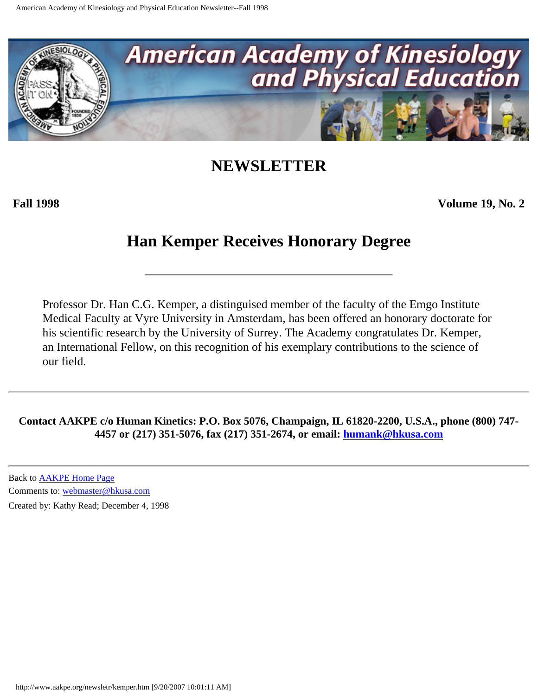<span id="page-25-0"></span>

**Fall 1998 Volume 19, No. 2**

### **Han Kemper Receives Honorary Degree**

Professor Dr. Han C.G. Kemper, a distinguised member of the faculty of the Emgo Institute Medical Faculty at Vyre University in Amsterdam, has been offered an honorary doctorate for his scientific research by the University of Surrey. The Academy congratulates Dr. Kemper, an International Fellow, on this recognition of his exemplary contributions to the science of our field.

**Contact AAKPE c/o Human Kinetics: P.O. Box 5076, Champaign, IL 61820-2200, U.S.A., phone (800) 747- 4457 or (217) 351-5076, fax (217) 351-2674, or email: [humank@hkusa.com](mailto:humank@hkusa.com)**

Back to [AAKPE Home Page](http://www.aakpe.org/index.htm) Comments to: [webmaster@hkusa.com](mailto:webmaster@hkusa.com)

Created by: Kathy Read; December 4, 1998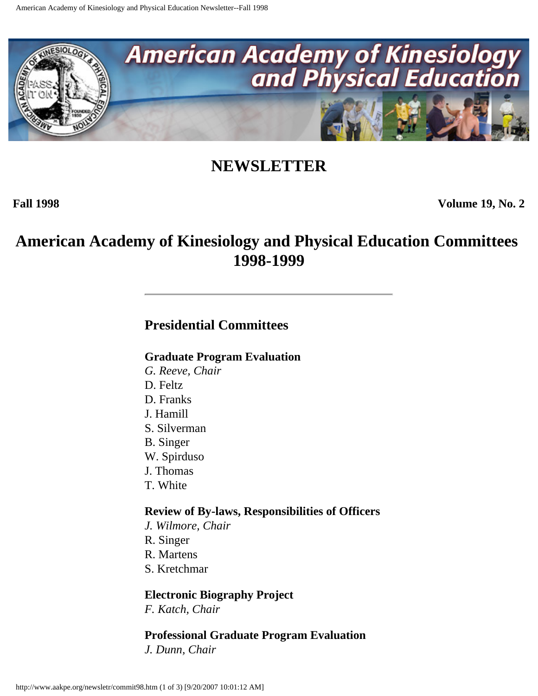<span id="page-26-0"></span>

**Fall 1998 Volume 19, No. 2**

### **American Academy of Kinesiology and Physical Education Committees 1998-1999**

### **Presidential Committees**

#### **Graduate Program Evaluation**

- *G. Reeve, Chair*
- D. Feltz
- D. Franks
- J. Hamill
- S. Silverman
- B. Singer
- W. Spirduso
- J. Thomas
- T. White

#### **Review of By-laws, Responsibilities of Officers**

- *J. Wilmore, Chair*
- R. Singer
- R. Martens
- S. Kretchmar

#### **Electronic Biography Project**

*F. Katch, Chair*

#### **Professional Graduate Program Evaluation**

*J. Dunn, Chair*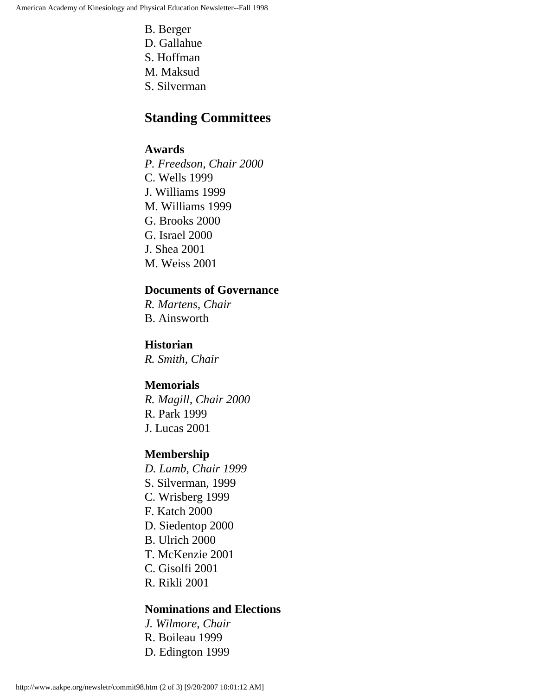- B. Berger
- D. Gallahue
- S. Hoffman
- M. Maksud
- S. Silverman

#### **Standing Committees**

#### **Awards**

*P. Freedson, Chair 2000* C. Wells 1999 J. Williams 1999 M. Williams 1999 G. Brooks 2000 G. Israel 2000 J. Shea 2001 M. Weiss 2001

#### **Documents of Governance**

*R. Martens, Chair* B. Ainsworth

**Historian**

*R. Smith, Chair*

#### **Memorials**

*R. Magill, Chair 2000* R. Park 1999 J. Lucas 2001

#### **Membership**

*D. Lamb, Chair 1999* S. Silverman, 1999 C. Wrisberg 1999 F. Katch 2000 D. Siedentop 2000 B. Ulrich 2000 T. McKenzie 2001 C. Gisolfi 2001 R. Rikli 2001

#### **Nominations and Elections**

*J. Wilmore, Chair* R. Boileau 1999 D. Edington 1999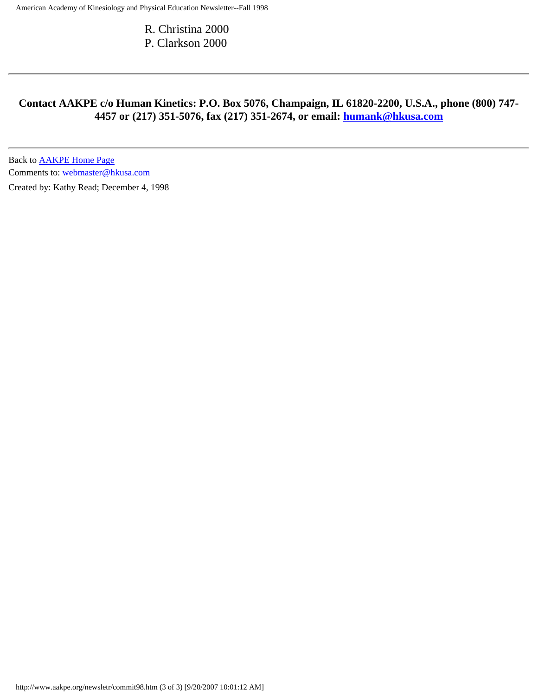R. Christina 2000 P. Clarkson 2000

#### **Contact AAKPE c/o Human Kinetics: P.O. Box 5076, Champaign, IL 61820-2200, U.S.A., phone (800) 747- 4457 or (217) 351-5076, fax (217) 351-2674, or email: [humank@hkusa.com](mailto:humank@hkusa.com)**

Back to [AAKPE Home Page](http://www.aakpe.org/index.htm) Comments to: [webmaster@hkusa.com](mailto:webmaster@hkusa.com)

Created by: Kathy Read; December 4, 1998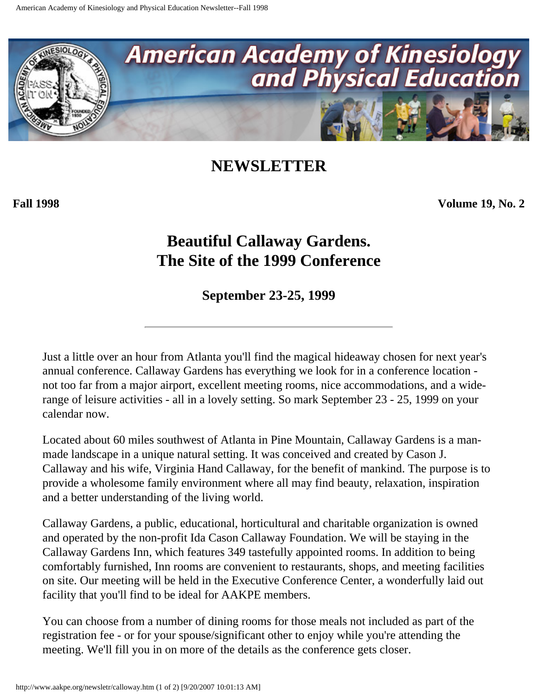<span id="page-29-0"></span>

**Fall 1998 Volume 19, No. 2**

## **Beautiful Callaway Gardens. The Site of the 1999 Conference**

**September 23-25, 1999**

Just a little over an hour from Atlanta you'll find the magical hideaway chosen for next year's annual conference. Callaway Gardens has everything we look for in a conference location not too far from a major airport, excellent meeting rooms, nice accommodations, and a widerange of leisure activities - all in a lovely setting. So mark September 23 - 25, 1999 on your calendar now.

Located about 60 miles southwest of Atlanta in Pine Mountain, Callaway Gardens is a manmade landscape in a unique natural setting. It was conceived and created by Cason J. Callaway and his wife, Virginia Hand Callaway, for the benefit of mankind. The purpose is to provide a wholesome family environment where all may find beauty, relaxation, inspiration and a better understanding of the living world.

Callaway Gardens, a public, educational, horticultural and charitable organization is owned and operated by the non-profit Ida Cason Callaway Foundation. We will be staying in the Callaway Gardens Inn, which features 349 tastefully appointed rooms. In addition to being comfortably furnished, Inn rooms are convenient to restaurants, shops, and meeting facilities on site. Our meeting will be held in the Executive Conference Center, a wonderfully laid out facility that you'll find to be ideal for AAKPE members.

You can choose from a number of dining rooms for those meals not included as part of the registration fee - or for your spouse/significant other to enjoy while you're attending the meeting. We'll fill you in on more of the details as the conference gets closer.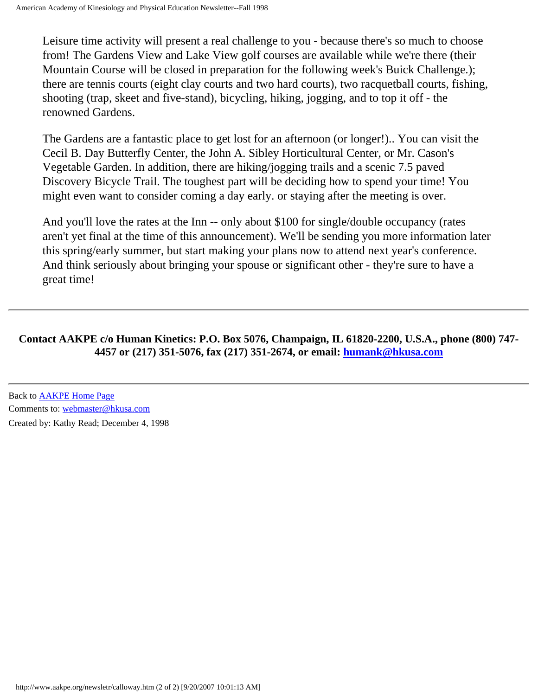Leisure time activity will present a real challenge to you - because there's so much to choose from! The Gardens View and Lake View golf courses are available while we're there (their Mountain Course will be closed in preparation for the following week's Buick Challenge.); there are tennis courts (eight clay courts and two hard courts), two racquetball courts, fishing, shooting (trap, skeet and five-stand), bicycling, hiking, jogging, and to top it off - the renowned Gardens.

The Gardens are a fantastic place to get lost for an afternoon (or longer!).. You can visit the Cecil B. Day Butterfly Center, the John A. Sibley Horticultural Center, or Mr. Cason's Vegetable Garden. In addition, there are hiking/jogging trails and a scenic 7.5 paved Discovery Bicycle Trail. The toughest part will be deciding how to spend your time! You might even want to consider coming a day early. or staying after the meeting is over.

And you'll love the rates at the Inn -- only about \$100 for single/double occupancy (rates aren't yet final at the time of this announcement). We'll be sending you more information later this spring/early summer, but start making your plans now to attend next year's conference. And think seriously about bringing your spouse or significant other - they're sure to have a great time!

#### **Contact AAKPE c/o Human Kinetics: P.O. Box 5076, Champaign, IL 61820-2200, U.S.A., phone (800) 747- 4457 or (217) 351-5076, fax (217) 351-2674, or email: [humank@hkusa.com](mailto:humank@hkusa.com)**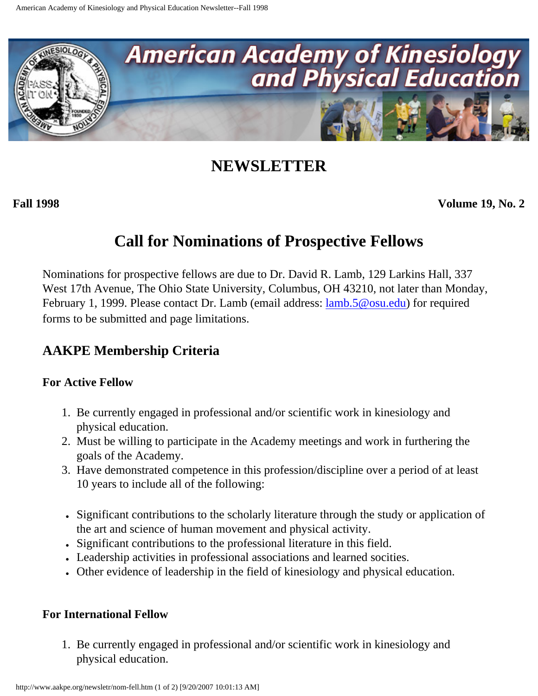<span id="page-31-0"></span>

**Fall 1998 Volume 19, No. 2**

### **Call for Nominations of Prospective Fellows**

Nominations for prospective fellows are due to Dr. David R. Lamb, 129 Larkins Hall, 337 West 17th Avenue, The Ohio State University, Columbus, OH 43210, not later than Monday, February 1, 1999. Please contact Dr. Lamb (email address: <u>[lamb.5@osu.edu](mailto:lamb.5@osu.edu)</u>) for required forms to be submitted and page limitations.

### **AAKPE Membership Criteria**

#### **For Active Fellow**

- 1. Be currently engaged in professional and/or scientific work in kinesiology and physical education.
- 2. Must be willing to participate in the Academy meetings and work in furthering the goals of the Academy.
- 3. Have demonstrated competence in this profession/discipline over a period of at least 10 years to include all of the following:
- Significant contributions to the scholarly literature through the study or application of the art and science of human movement and physical activity.
- Significant contributions to the professional literature in this field.
- Leadership activities in professional associations and learned socities.
- Other evidence of leadership in the field of kinesiology and physical education.

#### **For International Fellow**

1. Be currently engaged in professional and/or scientific work in kinesiology and physical education.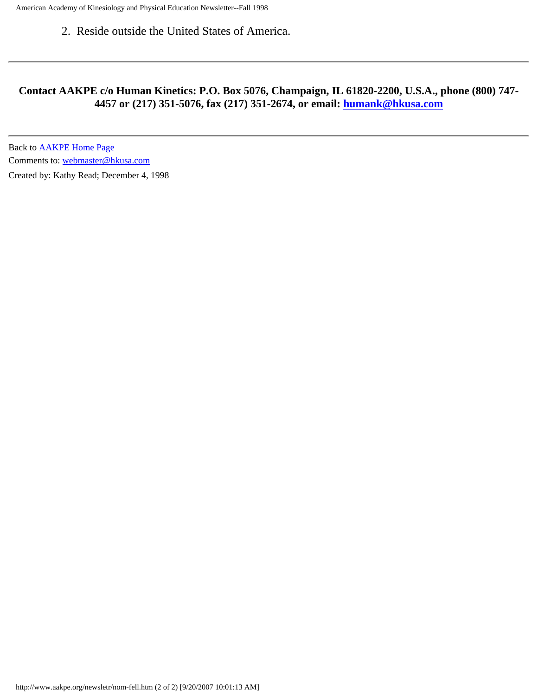American Academy of Kinesiology and Physical Education Newsletter--Fall 1998

2. Reside outside the United States of America.

#### **Contact AAKPE c/o Human Kinetics: P.O. Box 5076, Champaign, IL 61820-2200, U.S.A., phone (800) 747- 4457 or (217) 351-5076, fax (217) 351-2674, or email: [humank@hkusa.com](mailto:humank@hkusa.com)**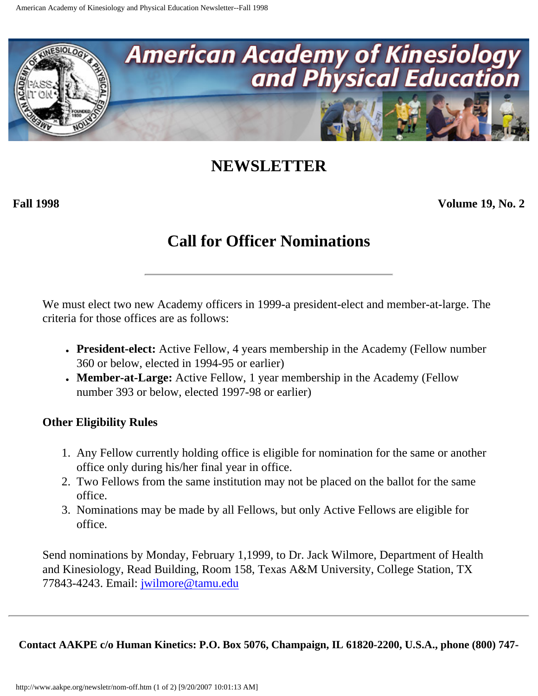<span id="page-33-0"></span>

**Fall 1998 Volume 19, No. 2**

### **Call for Officer Nominations**

We must elect two new Academy officers in 1999-a president-elect and member-at-large. The criteria for those offices are as follows:

- **President-elect:** Active Fellow, 4 years membership in the Academy (Fellow number 360 or below, elected in 1994-95 or earlier)
- **Member-at-Large:** Active Fellow, 1 year membership in the Academy (Fellow number 393 or below, elected 1997-98 or earlier)

#### **Other Eligibility Rules**

- 1. Any Fellow currently holding office is eligible for nomination for the same or another office only during his/her final year in office.
- 2. Two Fellows from the same institution may not be placed on the ballot for the same office.
- 3. Nominations may be made by all Fellows, but only Active Fellows are eligible for office.

Send nominations by Monday, February 1,1999, to Dr. Jack Wilmore, Department of Health and Kinesiology, Read Building, Room 158, Texas A&M University, College Station, TX 77843-4243. Email: [jwilmore@tamu.edu](mailto:jwilmore@tamu.edu)

**Contact AAKPE c/o Human Kinetics: P.O. Box 5076, Champaign, IL 61820-2200, U.S.A., phone (800) 747-**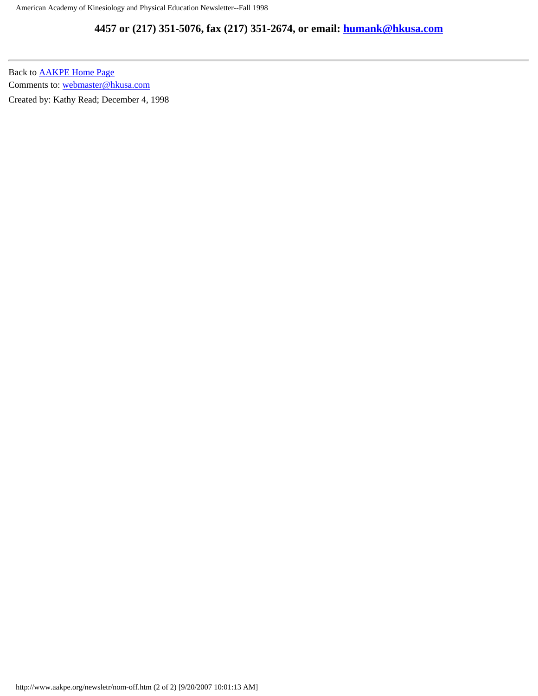#### **4457 or (217) 351-5076, fax (217) 351-2674, or email: [humank@hkusa.com](mailto:humank@hkusa.com)**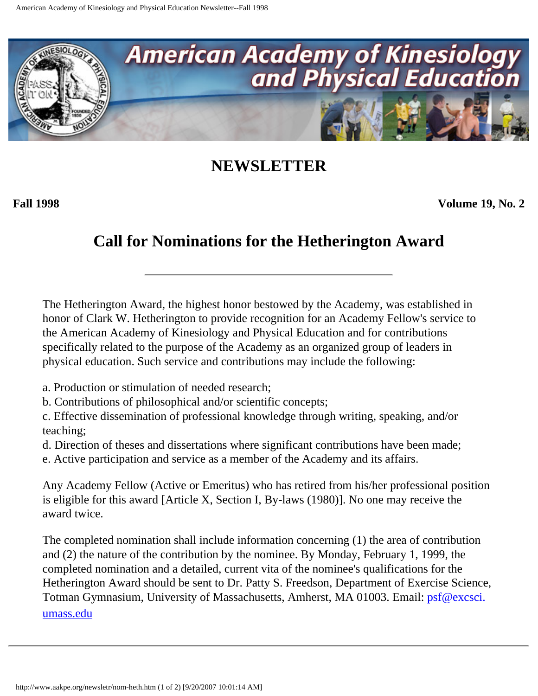<span id="page-35-0"></span>

**Fall 1998 Volume 19, No. 2**

### **Call for Nominations for the Hetherington Award**

The Hetherington Award, the highest honor bestowed by the Academy, was established in honor of Clark W. Hetherington to provide recognition for an Academy Fellow's service to the American Academy of Kinesiology and Physical Education and for contributions specifically related to the purpose of the Academy as an organized group of leaders in physical education. Such service and contributions may include the following:

- a. Production or stimulation of needed research;
- b. Contributions of philosophical and/or scientific concepts;

c. Effective dissemination of professional knowledge through writing, speaking, and/or teaching;

d. Direction of theses and dissertations where significant contributions have been made;

e. Active participation and service as a member of the Academy and its affairs.

Any Academy Fellow (Active or Emeritus) who has retired from his/her professional position is eligible for this award [Article X, Section I, By-laws (1980)]. No one may receive the award twice.

The completed nomination shall include information concerning (1) the area of contribution and (2) the nature of the contribution by the nominee. By Monday, February 1, 1999, the completed nomination and a detailed, current vita of the nominee's qualifications for the Hetherington Award should be sent to Dr. Patty S. Freedson, Department of Exercise Science, Totman Gymnasium, University of Massachusetts, Amherst, MA 01003. Email: *psf@excsci.* [umass.edu](mailto:psf@excsci.umass.edu)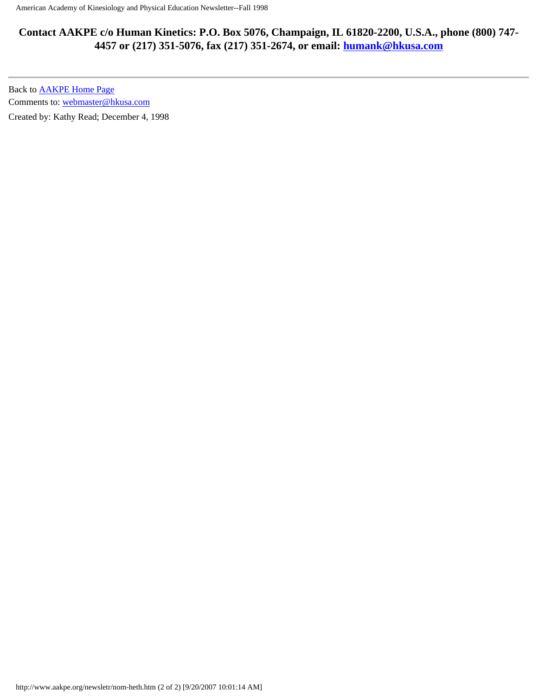#### **Contact AAKPE c/o Human Kinetics: P.O. Box 5076, Champaign, IL 61820-2200, U.S.A., phone (800) 747- 4457 or (217) 351-5076, fax (217) 351-2674, or email: [humank@hkusa.com](mailto:humank@hkusa.com)**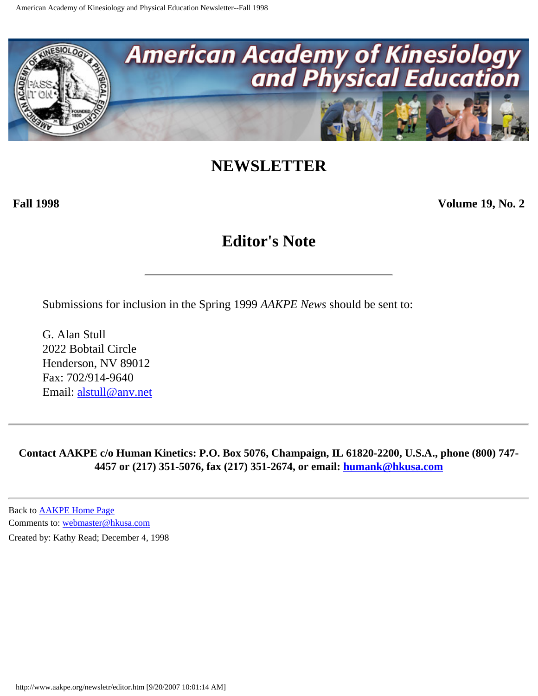<span id="page-37-0"></span>

**Fall 1998 Volume 19, No. 2**

### **Editor's Note**

Submissions for inclusion in the Spring 1999 *AAKPE News* should be sent to:

G. Alan Stull 2022 Bobtail Circle Henderson, NV 89012 Fax: 702/914-9640 Email: [alstull@anv.net](mailto:alstull@anv.net)

**Contact AAKPE c/o Human Kinetics: P.O. Box 5076, Champaign, IL 61820-2200, U.S.A., phone (800) 747- 4457 or (217) 351-5076, fax (217) 351-2674, or email: [humank@hkusa.com](mailto:humank@hkusa.com)**

Back to [AAKPE Home Page](http://www.aakpe.org/index.htm) Comments to: [webmaster@hkusa.com](mailto:webmaster@hkusa.com)

Created by: Kathy Read; December 4, 1998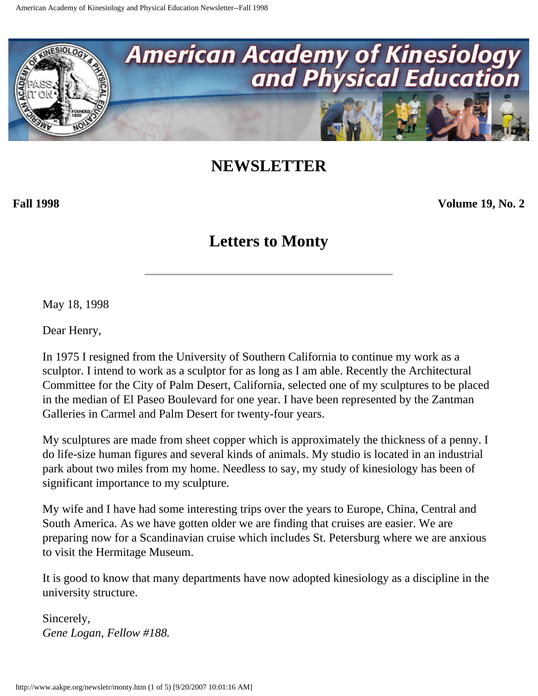<span id="page-38-0"></span>

**Fall 1998 Volume 19, No. 2**

### **Letters to Monty**

May 18, 1998

Dear Henry,

In 1975 I resigned from the University of Southern California to continue my work as a sculptor. I intend to work as a sculptor for as long as I am able. Recently the Architectural Committee for the City of Palm Desert, California, selected one of my sculptures to be placed in the median of El Paseo Boulevard for one year. I have been represented by the Zantman Galleries in Carmel and Palm Desert for twenty-four years.

My sculptures are made from sheet copper which is approximately the thickness of a penny. I do life-size human figures and several kinds of animals. My studio is located in an industrial park about two miles from my home. Needless to say, my study of kinesiology has been of significant importance to my sculpture.

My wife and I have had some interesting trips over the years to Europe, China, Central and South America. As we have gotten older we are finding that cruises are easier. We are preparing now for a Scandinavian cruise which includes St. Petersburg where we are anxious to visit the Hermitage Museum.

It is good to know that many departments have now adopted kinesiology as a discipline in the university structure.

Sincerely, *Gene Logan, Fellow #188.*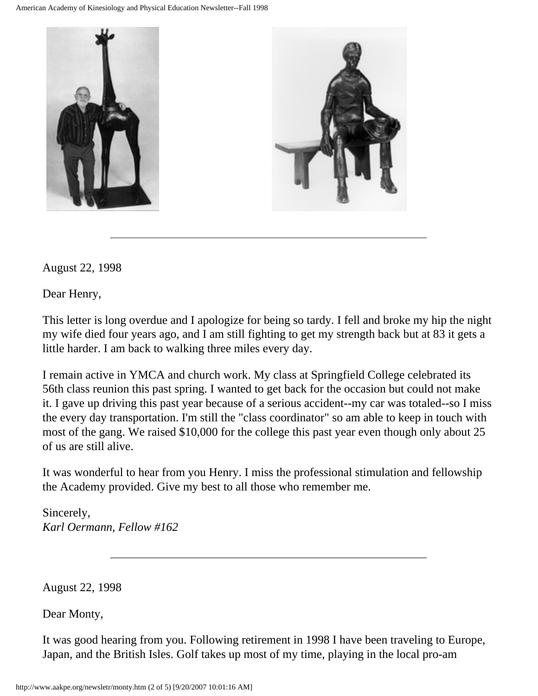

August 22, 1998

Dear Henry,

This letter is long overdue and I apologize for being so tardy. I fell and broke my hip the night my wife died four years ago, and I am still fighting to get my strength back but at 83 it gets a little harder. I am back to walking three miles every day.

I remain active in YMCA and church work. My class at Springfield College celebrated its 56th class reunion this past spring. I wanted to get back for the occasion but could not make it. I gave up driving this past year because of a serious accident--my car was totaled--so I miss the every day transportation. I'm still the "class coordinator" so am able to keep in touch with most of the gang. We raised \$10,000 for the college this past year even though only about 25 of us are still alive.

It was wonderful to hear from you Henry. I miss the professional stimulation and fellowship the Academy provided. Give my best to all those who remember me.

Sincerely, *Karl Oermann, Fellow #162*

August 22, 1998

Dear Monty,

It was good hearing from you. Following retirement in 1998 I have been traveling to Europe, Japan, and the British Isles. Golf takes up most of my time, playing in the local pro-am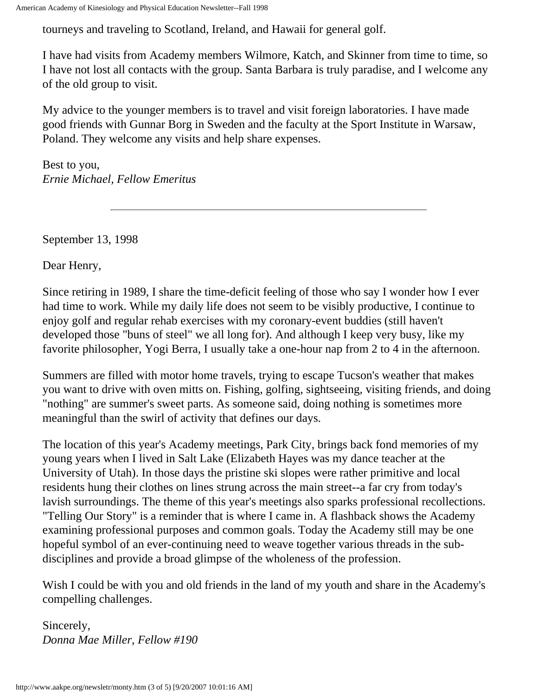tourneys and traveling to Scotland, Ireland, and Hawaii for general golf.

I have had visits from Academy members Wilmore, Katch, and Skinner from time to time, so I have not lost all contacts with the group. Santa Barbara is truly paradise, and I welcome any of the old group to visit.

My advice to the younger members is to travel and visit foreign laboratories. I have made good friends with Gunnar Borg in Sweden and the faculty at the Sport Institute in Warsaw, Poland. They welcome any visits and help share expenses.

Best to you, *Ernie Michael, Fellow Emeritus*

September 13, 1998

Dear Henry,

Since retiring in 1989, I share the time-deficit feeling of those who say I wonder how I ever had time to work. While my daily life does not seem to be visibly productive, I continue to enjoy golf and regular rehab exercises with my coronary-event buddies (still haven't developed those "buns of steel" we all long for). And although I keep very busy, like my favorite philosopher, Yogi Berra, I usually take a one-hour nap from 2 to 4 in the afternoon.

Summers are filled with motor home travels, trying to escape Tucson's weather that makes you want to drive with oven mitts on. Fishing, golfing, sightseeing, visiting friends, and doing "nothing" are summer's sweet parts. As someone said, doing nothing is sometimes more meaningful than the swirl of activity that defines our days.

The location of this year's Academy meetings, Park City, brings back fond memories of my young years when I lived in Salt Lake (Elizabeth Hayes was my dance teacher at the University of Utah). In those days the pristine ski slopes were rather primitive and local residents hung their clothes on lines strung across the main street--a far cry from today's lavish surroundings. The theme of this year's meetings also sparks professional recollections. "Telling Our Story" is a reminder that is where I came in. A flashback shows the Academy examining professional purposes and common goals. Today the Academy still may be one hopeful symbol of an ever-continuing need to weave together various threads in the subdisciplines and provide a broad glimpse of the wholeness of the profession.

Wish I could be with you and old friends in the land of my youth and share in the Academy's compelling challenges.

Sincerely, *Donna Mae Miller, Fellow #190*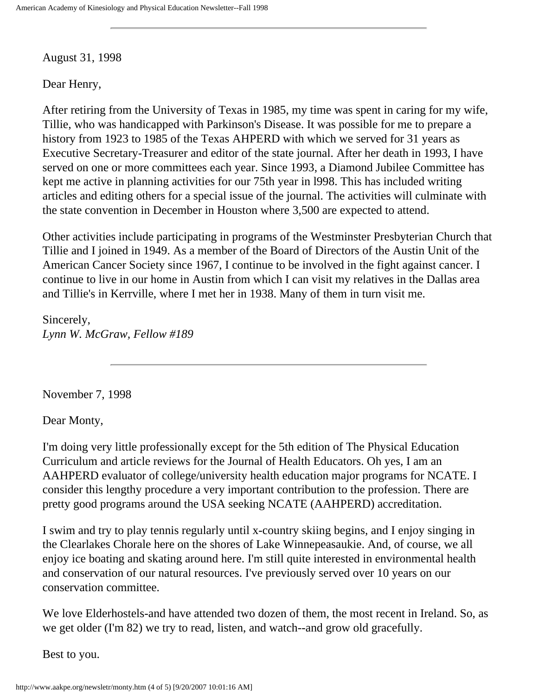August 31, 1998

Dear Henry,

After retiring from the University of Texas in 1985, my time was spent in caring for my wife, Tillie, who was handicapped with Parkinson's Disease. It was possible for me to prepare a history from 1923 to 1985 of the Texas AHPERD with which we served for 31 years as Executive Secretary-Treasurer and editor of the state journal. After her death in 1993, I have served on one or more committees each year. Since 1993, a Diamond Jubilee Committee has kept me active in planning activities for our 75th year in l998. This has included writing articles and editing others for a special issue of the journal. The activities will culminate with the state convention in December in Houston where 3,500 are expected to attend.

Other activities include participating in programs of the Westminster Presbyterian Church that Tillie and I joined in 1949. As a member of the Board of Directors of the Austin Unit of the American Cancer Society since 1967, I continue to be involved in the fight against cancer. I continue to live in our home in Austin from which I can visit my relatives in the Dallas area and Tillie's in Kerrville, where I met her in 1938. Many of them in turn visit me.

Sincerely, *Lynn W. McGraw, Fellow #189*

November 7, 1998

Dear Monty,

I'm doing very little professionally except for the 5th edition of The Physical Education Curriculum and article reviews for the Journal of Health Educators. Oh yes, I am an AAHPERD evaluator of college/university health education major programs for NCATE. I consider this lengthy procedure a very important contribution to the profession. There are pretty good programs around the USA seeking NCATE (AAHPERD) accreditation.

I swim and try to play tennis regularly until x-country skiing begins, and I enjoy singing in the Clearlakes Chorale here on the shores of Lake Winnepeasaukie. And, of course, we all enjoy ice boating and skating around here. I'm still quite interested in environmental health and conservation of our natural resources. I've previously served over 10 years on our conservation committee.

We love Elderhostels-and have attended two dozen of them, the most recent in Ireland. So, as we get older (I'm 82) we try to read, listen, and watch--and grow old gracefully.

Best to you.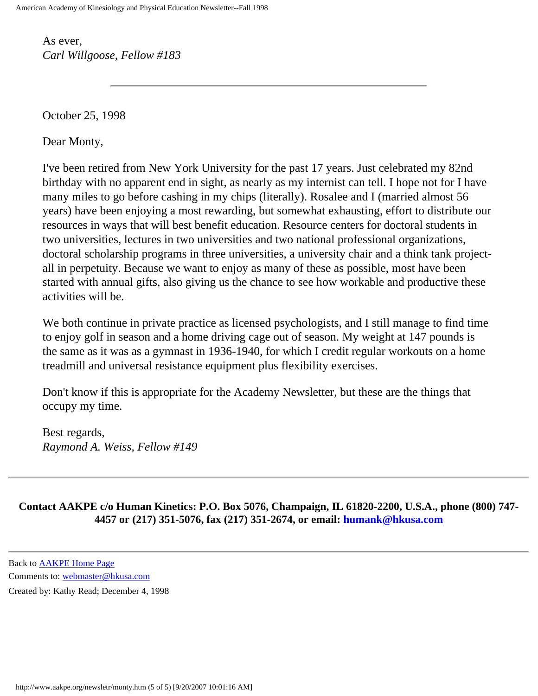As ever, *Carl Willgoose, Fellow #183*

October 25, 1998

Dear Monty,

I've been retired from New York University for the past 17 years. Just celebrated my 82nd birthday with no apparent end in sight, as nearly as my internist can tell. I hope not for I have many miles to go before cashing in my chips (literally). Rosalee and I (married almost 56 years) have been enjoying a most rewarding, but somewhat exhausting, effort to distribute our resources in ways that will best benefit education. Resource centers for doctoral students in two universities, lectures in two universities and two national professional organizations, doctoral scholarship programs in three universities, a university chair and a think tank projectall in perpetuity. Because we want to enjoy as many of these as possible, most have been started with annual gifts, also giving us the chance to see how workable and productive these activities will be.

We both continue in private practice as licensed psychologists, and I still manage to find time to enjoy golf in season and a home driving cage out of season. My weight at 147 pounds is the same as it was as a gymnast in 1936-1940, for which I credit regular workouts on a home treadmill and universal resistance equipment plus flexibility exercises.

Don't know if this is appropriate for the Academy Newsletter, but these are the things that occupy my time.

Best regards, *Raymond A. Weiss, Fellow #149*

**Contact AAKPE c/o Human Kinetics: P.O. Box 5076, Champaign, IL 61820-2200, U.S.A., phone (800) 747- 4457 or (217) 351-5076, fax (217) 351-2674, or email: [humank@hkusa.com](mailto:humank@hkusa.com)**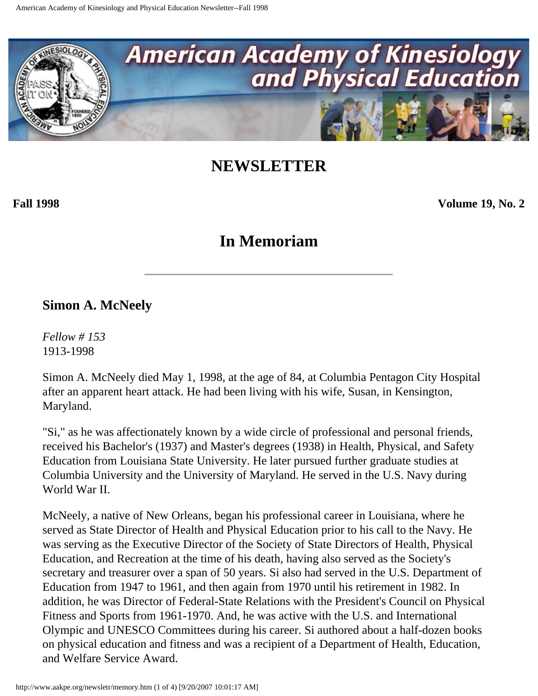<span id="page-43-0"></span>

**Fall 1998 Volume 19, No. 2**

### **In Memoriam**

#### **Simon A. McNeely**

*Fellow # 153* 1913-1998

Simon A. McNeely died May 1, 1998, at the age of 84, at Columbia Pentagon City Hospital after an apparent heart attack. He had been living with his wife, Susan, in Kensington, Maryland.

"Si," as he was affectionately known by a wide circle of professional and personal friends, received his Bachelor's (1937) and Master's degrees (1938) in Health, Physical, and Safety Education from Louisiana State University. He later pursued further graduate studies at Columbia University and the University of Maryland. He served in the U.S. Navy during World War II.

McNeely, a native of New Orleans, began his professional career in Louisiana, where he served as State Director of Health and Physical Education prior to his call to the Navy. He was serving as the Executive Director of the Society of State Directors of Health, Physical Education, and Recreation at the time of his death, having also served as the Society's secretary and treasurer over a span of 50 years. Si also had served in the U.S. Department of Education from 1947 to 1961, and then again from 1970 until his retirement in 1982. In addition, he was Director of Federal-State Relations with the President's Council on Physical Fitness and Sports from 1961-1970. And, he was active with the U.S. and International Olympic and UNESCO Committees during his career. Si authored about a half-dozen books on physical education and fitness and was a recipient of a Department of Health, Education, and Welfare Service Award.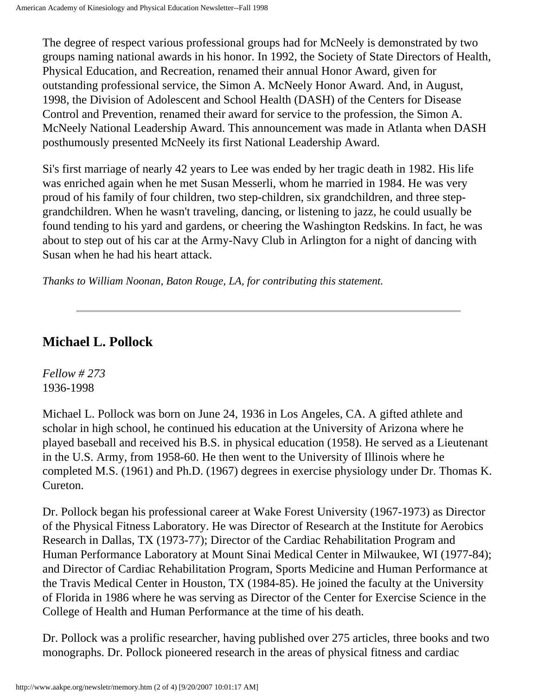The degree of respect various professional groups had for McNeely is demonstrated by two groups naming national awards in his honor. In 1992, the Society of State Directors of Health, Physical Education, and Recreation, renamed their annual Honor Award, given for outstanding professional service, the Simon A. McNeely Honor Award. And, in August, 1998, the Division of Adolescent and School Health (DASH) of the Centers for Disease Control and Prevention, renamed their award for service to the profession, the Simon A. McNeely National Leadership Award. This announcement was made in Atlanta when DASH posthumously presented McNeely its first National Leadership Award.

Si's first marriage of nearly 42 years to Lee was ended by her tragic death in 1982. His life was enriched again when he met Susan Messerli, whom he married in 1984. He was very proud of his family of four children, two step-children, six grandchildren, and three stepgrandchildren. When he wasn't traveling, dancing, or listening to jazz, he could usually be found tending to his yard and gardens, or cheering the Washington Redskins. In fact, he was about to step out of his car at the Army-Navy Club in Arlington for a night of dancing with Susan when he had his heart attack.

*Thanks to William Noonan, Baton Rouge, LA, for contributing this statement.*

### **Michael L. Pollock**

*Fellow # 273* 1936-1998

Michael L. Pollock was born on June 24, 1936 in Los Angeles, CA. A gifted athlete and scholar in high school, he continued his education at the University of Arizona where he played baseball and received his B.S. in physical education (1958). He served as a Lieutenant in the U.S. Army, from 1958-60. He then went to the University of Illinois where he completed M.S. (1961) and Ph.D. (1967) degrees in exercise physiology under Dr. Thomas K. Cureton.

Dr. Pollock began his professional career at Wake Forest University (1967-1973) as Director of the Physical Fitness Laboratory. He was Director of Research at the Institute for Aerobics Research in Dallas, TX (1973-77); Director of the Cardiac Rehabilitation Program and Human Performance Laboratory at Mount Sinai Medical Center in Milwaukee, WI (1977-84); and Director of Cardiac Rehabilitation Program, Sports Medicine and Human Performance at the Travis Medical Center in Houston, TX (1984-85). He joined the faculty at the University of Florida in 1986 where he was serving as Director of the Center for Exercise Science in the College of Health and Human Performance at the time of his death.

Dr. Pollock was a prolific researcher, having published over 275 articles, three books and two monographs. Dr. Pollock pioneered research in the areas of physical fitness and cardiac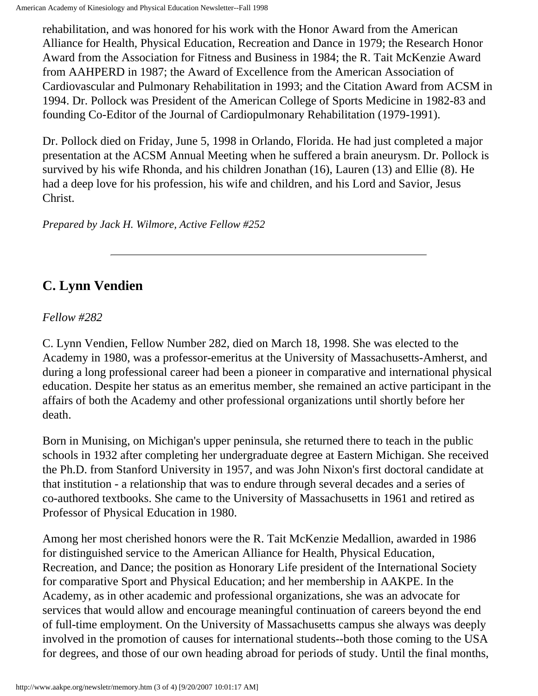rehabilitation, and was honored for his work with the Honor Award from the American Alliance for Health, Physical Education, Recreation and Dance in 1979; the Research Honor Award from the Association for Fitness and Business in 1984; the R. Tait McKenzie Award from AAHPERD in 1987; the Award of Excellence from the American Association of Cardiovascular and Pulmonary Rehabilitation in 1993; and the Citation Award from ACSM in 1994. Dr. Pollock was President of the American College of Sports Medicine in 1982-83 and founding Co-Editor of the Journal of Cardiopulmonary Rehabilitation (1979-1991).

Dr. Pollock died on Friday, June 5, 1998 in Orlando, Florida. He had just completed a major presentation at the ACSM Annual Meeting when he suffered a brain aneurysm. Dr. Pollock is survived by his wife Rhonda, and his children Jonathan (16), Lauren (13) and Ellie (8). He had a deep love for his profession, his wife and children, and his Lord and Savior, Jesus Christ.

*Prepared by Jack H. Wilmore, Active Fellow #252*

### **C. Lynn Vendien**

#### *Fellow #282*

C. Lynn Vendien, Fellow Number 282, died on March 18, 1998. She was elected to the Academy in 1980, was a professor-emeritus at the University of Massachusetts-Amherst, and during a long professional career had been a pioneer in comparative and international physical education. Despite her status as an emeritus member, she remained an active participant in the affairs of both the Academy and other professional organizations until shortly before her death.

Born in Munising, on Michigan's upper peninsula, she returned there to teach in the public schools in 1932 after completing her undergraduate degree at Eastern Michigan. She received the Ph.D. from Stanford University in 1957, and was John Nixon's first doctoral candidate at that institution - a relationship that was to endure through several decades and a series of co-authored textbooks. She came to the University of Massachusetts in 1961 and retired as Professor of Physical Education in 1980.

Among her most cherished honors were the R. Tait McKenzie Medallion, awarded in 1986 for distinguished service to the American Alliance for Health, Physical Education, Recreation, and Dance; the position as Honorary Life president of the International Society for comparative Sport and Physical Education; and her membership in AAKPE. In the Academy, as in other academic and professional organizations, she was an advocate for services that would allow and encourage meaningful continuation of careers beyond the end of full-time employment. On the University of Massachusetts campus she always was deeply involved in the promotion of causes for international students--both those coming to the USA for degrees, and those of our own heading abroad for periods of study. Until the final months,